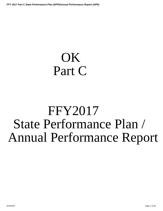# <span id="page-0-0"></span>OK Part C

# FFY2017 State Performance Plan / Annual Performance Report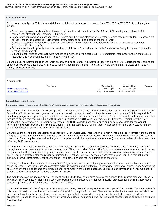# **Introduction to the State Performance Plan (SPP)/Annual Performance Report (APR) FFY 2017 Part C State Performance Plan (SPP)/Annual Performance Report (APR)**

# **Executive Summary:**

On the vast majority of APR indicators, Oklahoma maintained or improved its scores from FFY 2016 to FFY 2017. Some highlights include:

- Oklahoma improved substantially on the early childhood transition indicators (8A, 8B, and 8C), moving much closer to full compliance, although none reached 100 percent.
- SoonerStart improved or maintained its high scores on all but one element of Indicator 3, which measures students' improvement on early childhood outcomes. Furthermore, every element but one exceeds the state target.
- Parents' assessment of SoonerStart program and service quality improved considerably to an average 98.8% approval rate (Indicators 4A, 4B, and 4C).
- Personnel continue to provide nearly all services to children in "natural environments," such as the family home and community locations (Indicator 2).
- Oklahoma continues to work well with families as evidenced by the zero counts of complaints (measured through the counts of resolution and mediation sessions in Indicators 9 and 10).

Oklahoma SoonerStart failed to meet target on only two performance indicators: 3B/peer-level and 5. State performance declined far enough on two compliance indicator scores to require slippage statements: Indicator 1 (timely provision of services) and Indicator 7 (timely provision of IFSPs).

| Attachments           |                  |                       |                      |        |
|-----------------------|------------------|-----------------------|----------------------|--------|
|                       | <b>File Name</b> | Uploaded By           | <b>Uploaded Date</b> | Remove |
| 20190117115054595.pdf |                  | Ginger Elliott-Teague | 1/17/2019 12:54 PM   |        |
| 20190128084545648.pdf |                  | Ginger Elliott-Teague | 1/28/2019 9:49 AM    |        |
|                       |                  |                       |                      |        |

### **General Supervision System:**

The systems that are in place to ensure that IDEA Part C requirements are met, e.g., monitoring systems, dispute resolution systems.

The Oklahoma Early Intervention Act designated the Oklahoma State Department of Education (OSDE) and the State Department of Education (OSDH) as the lead agencies for the administration of the SoonerStart Early Intervention Program. OSDE is responsible for monitoring progress and providing oversight for the provision of early intervention services at 27 sites for infants and toddlers and their families to ensure that the Individuals with Disabilities Education Act (IDEA) is implemented in Oklahoma. Oversight by the OSDE includes the use of various accountability processes. The OSDE collects both compliance and performance data for the Annual Performance Report through a statewide database. The State assures that all instances of noncompliance are corrected within one year of identification at both the child level and site level.

Oklahoma's monitoring process verifies that each local SoonerStart Early Intervention site with noncompliance is correctly implementing the specific regulatory requirements and has corrected any untimely individual records. Oklahoma requires verification of child-specific correction of noncompliance as well as long-term compliance with the regulatory requirements (based on a review of subsequent data reflecting 100% compliance).

All 27 SoonerStart sites are monitored for each APR indicator. Systemic and single-occurrence noncompliance is formally identified through data reports generated from the state's online IFSP system called EdPlan. The EdPlan database maintains an electronic record for each child in the SoonerStart program. The electronic record reflects the date that early intervention activities occur and if not timely, requires staff to enter the reason for missing the timeline. However, noncompliance may also be identified through parent surveys, informal complaints, local/peer feedback, and other periodic reports submitted to the state.

Following the formal identification, the SoonerStart Program Manager issues a finding of noncompliance and uses subsequent data reports to ensure that the prescribed corrective action is occurring and is effective. In reviewing compliance issues, SoonerStart tracks data on every child in Oklahoma by a unique identifier number in the EdPlan database. Verification of correction of noncompliance is conducted through review of the child's electronic record.

The monitoring plan includes an annual review of child and site level compliance data by the SoonerStart Program Manager. Steps to implement corrective action plans and action plan tracking and monitoring are defined. Security processes for electronic documents concerning findings of noncompliance have been established.

Oklahoma has selected the  $4<sup>th</sup>$  quarter of the fiscal year (April, May and June) as the reporting period for the APR. The data review for this reporting period occurs the last two weeks of August for the prior fiscal year. Standardized statewide management reports have been and will continue to be developed using system reports that contain all relevant records from all sites. SoonerStart has procedures in place to review data, identify noncompliance, issue findings and track correction of noncompliance at both the child and local site level.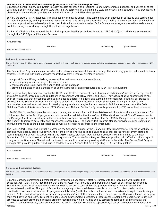Oklahoma's general supervision system is reliant on data collection and reporting. SoonerStart compiles, analyzes, and utilizes all of the data that is submitted by local SoonerStart sites. Part C personnel in Oklahoma are state employees and SoonerStart has procedures in place to promote consistency in data entry and utilization of the EdPlan data system.

EdPlan, the state's Part C database, is maintained by an outside vendor. The system has been effective in collecting and sorting data for reporting purposes, and improvements made over time have greatly enhanced the state's ability to accurately report all compliance data, and support evidence-based practices. User instructions are maintained on EdPlan's main menu page and real-time assistance is available during the work day through the online message board.

For Part C, Oklahoma has adopted the Part B due process hearing procedures under 34 CFR 303.430(d)(2) which are administered through the OSDE Special Education Services.

| <b>Attachments</b> |                  |                    |                      |
|--------------------|------------------|--------------------|----------------------|
|                    | <b>File Name</b> | <b>Uploaded By</b> | <b>Uploaded Date</b> |

# **Technical Assistance System:**

No APR attachments found.

The mechanisms that the State has in place to ensure the timely delivery of high quality, evidenced based technical assistance and support to early intervention service (EIS) programs.

The SoonerStart Program Manager provides technical assistance to each local site through the monitoring process, scheduled technical assistance visits and individual responses requested by staff. Technical assistance includes:

- support for identifying underlying causes of low performance and noncompliance;
- developing appropriate strategies for improvement;
- troubleshooting issues with the SoonerStart EdPlan database
- providing explanation and clarification of SoonerStart operational procedures and IDEA, Part C regulations

The Regional Early Intervention Coordinator (REIC) and Health Department Lead Clinician at each SoonerStart site work together to implement policies, procedures and regulations in accordance with IDEA, Part C and OSDE. They assure that all noncompliance has been corrected and that procedures are put into place to address child level and systemic noncompliance. Technical assistance is provided by the SoonerStart Program Manager to support in the identification of underlying causes of low performance and noncompliance as well as assist teams in developing appropriate strategies for improvement. Additional resources from the Early Childhood Technical Assistance Center (ECTA Center) and National Center for Systemic Improvement (NCSI) are utilized as needed.

In 2017-2018, SoonerStart provided additional training and support for the EdPlan database which contains the electronic record for children enrolled in the Part C program. An outside vendor maintains the SoonerStart EdPlan database but all EI staff have access to the Message Board to request information or assistance with features of the system. The Part C Data Manager has developed detailed "Tip Sheets" to improve data entry and report access procedures. The SoonerStart Program Manager provides regular updates on improvements made to the EdPlan database as well as instructions on process and procedures.

The SoonerStart Operations Manual is posted on the SoonerStart page of the Oklahoma State Department of Education website. A standing multi-agency task group reviews the Manual on an ongoing basis to ensure that all procedures reflect current state and federal regulations as well as current OSDE and OSDH agency practices. Operational procedures were also linked to the new SoonerStart EdPlan database procedures where applicable. The SoonerStart Program Manager provides all staff with notice of specific changes to the Operations Manual and continues to respond to questions posed by staff across the state. The SoonerStart Program Manager also provides guidance and written feedback to local SoonerStart sites regarding IDEA, Part C regulations.

# **Attachments**

**File Name Uploaded By Uploaded Date**

No APR attachments found.

### **Professional Development System:**

The mechanisms the State has in place to ensure that service providers are effectively providing services that improve results for infants and toddlers with disabilities and their families.

Oklahoma provides professional personnel development to all SoonerStart staff, to comply with the Individuals with Disabilities Education Act (IDEA) Part C requirement that a state system must include a comprehensive system of personnel development. SoonerStart professional development activities seek to ensure accountability and promote the use of recommended and evidence-based practices. The goal of SoonerStart's ongoing professional development is to provide EI professionals (service coordinators, service providers, and EI program administration) with the tools, confidence, and competence to equip them to support families. Professional development is crucial in helping SoonerStart staff promote evidence-based practices that assist families in helping their child develop and learn. To meet this goal, SoonerStart employs a dedicated Professional Development Coordinator to develop activities to support providers in meeting program requirements while providing quality services to families of eligible infants and toddlers in an individualized, culturally sensitive, and ethical manner. Her work is supported by a set of stakeholders who advise the 9/18/2020 Page 3 of 38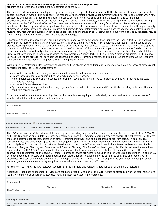program as a professional development sub-committee of the ICC.

The SoonerStart professional development system is designed to operate hand-in-hand with the TA system. As a component of the general supervision system, it is designed to be responsive to identified provider/agency/family needs, to inform the system when new procedures and policies are required, to address practice change to improve child and family outcomes, and to implement evidence-based practices. The system includes entry-level online training modules, information sharing and resource sharing, posting information on the OSDE website-SoonerStart page that includes information and training for families, and face-to-face professional development activities provided by early intervention content experts. Professional development needs are identified through a variety of methods including; review of individual program and statewide data, information from compliance monitoring and quality assurance reviews, new research and current evidence based practices and initiatives in early intervention, input from local site supervisors, results from training surveys and national and state level policy changes.

Oklahoma is rolling out a new online learning platform designed by the same vendor that supports the SoonerStart EdPlan database to provide online learning, interactive communities, and a tracking system. A revised "New Employee Orientation" training series offers blended learning modules. Face-to-face trainings for staff include Early Literacy Resources, Coaching Families, and any local site-specific content or discipline specific content requested by SoonerStart teams. Collaboration with agency partners such as AbleTech or the Oklahoma Health Care Authority offer new opportunities for staff training. SoonerStart continues to participate in the Early Childhood Professional Development Collaborative in which multiple programs (SoonerStart, Child Care, Home Visitation programs, Child Guidance Services, etc.) share professional development opportunities using a combined registry and training tracking system. At the local level, Oklahoma also utilizes mentors and peer-to-peer training opportunities.

With a full-time Professional Development Coordinator and the allocation of additional resources to develop a wide-array of professional development activities, SoonerStart provides:

- statewide coordination of training activities related to infants and toddlers and their families;
- Greater access to learning opportunities for families and service providers;
- A more balanced and coordinated schedule of training activities in terms of topics, locations, and dates throughout the state available year round;
- on-line and face-to-face trainings; and
- Specialized training opportunities that bring together families and professionals from different fields, including early education and child care service providers.

Oklahoma remains committed to ensuring that service providers are equipped to effectively provide services that improve results for infants and toddlers with disabilities and their families.

| <b>Attachments</b>        |                  |                    |                      |
|---------------------------|------------------|--------------------|----------------------|
|                           | <b>File Name</b> | <b>Uploaded By</b> | <b>Uploaded Date</b> |
| No APR attachments found. |                  |                    |                      |
|                           |                  |                    |                      |

**Stakeholder Involvement:**  $\overline{\mathbf{v}}$  apply this to all Part C results indicators

The mechanism for soliciting broad stakeholder input on targets in the SPP, including revisions to targets.

The ICC serves as one of the primary stakeholder groups providing ongoing guidance and input into the development of the SPP/APR and SSIP. Information and updates are provided regularly at each ICC meeting regarding progress towards the achievement of targets, the child outcome data process, selection of targets, training initiatives, and public reporting of program status. In addition, ICC sub-committees and special task groups are given ongoing opportunities for input throughout the year. Each sub-committee follows specific By-laws for membership that reflects diversity within the state. ICC sub-committees include Personnel Development, Public Awareness, Program Planning and Evaluation and Financial Planning. The SoonerStart lead agency identifies broad-based stakeholders (in accordance with §303.601) and provides the information about prospective members to the Oklahoma Governor's office for approval and appointment to the council. Members represent service providers, families of children with disabilities under the age of 12, child development instructors and representatives from state agencies providing services to families of infants and toddlers with disabilities. The council members are given multiple opportunities to share their input throughout the year. Lead Agency personnel share programmatic updates on a regularly basis via email and at each quarterly ICC meeting.

For the FFY 2017 APR, the ICC reviewed SoonerStart program data and related targets for each of the Part C indicators.

Additional stakeholder engagement activities are conducted regularly as part of the SSIP. Across all strategies, various stakeholders are regularly consulted to ensure that activities meet the intended outputs and outcomes.

| Attachments               |                  |                    |                      |
|---------------------------|------------------|--------------------|----------------------|
| No APR attachments found. | <b>File Name</b> | <b>Uploaded By</b> | <b>Uploaded Date</b> |
|                           |                  |                    |                      |

### **Reporting to the Public:**

How and where the State reported to the public on the FFY 2016 performance of each EIS Program or Provider located in the State on the targets in the SPP/APR as soon as 9/18/2020 Page 4 of 38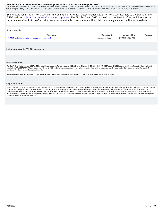<span id="page-4-0"></span>FFY 2017 Part C State Performance Plan (SPP)/Annual Performance Report (APR)<br>practicable, but no later than 120 days following the State's submission of its FFY 2016 APR, as required by 34 CFR §303.702(b)(1)(i)(A); and a d site, a complete copy of the State's SPP, including any revision if the State has revised the SPP that it submitted with its FFY 2016 APR in 2018, is available.

SoonerStart has made its FFY 2016 SPP/APR and its Part C Annual Determination Letter for FFY 2016 available to the public on the OSDE website at http://ok.gov/sde/datareporting-part-c. The FFY 2016 and 2017 SoonerStart Site Data Profiles, which report the performance of each SoonerStart site, were made available to each site and the public in a timely manner via the same webiste.

### **Attachments**

| <b>File Name</b>                                     | Uploaded By      | <b>Uploaded Date</b> | Remove |
|------------------------------------------------------|------------------|----------------------|--------|
| ffy 2017 technical assistance resources utilized.pdf | Lou Anne Mullens | 1/7/2019 12:53 PM    |        |
|                                                      |                  |                      |        |

### **Actions required in FFY 2016 response**

### **OSEP Response**

The State's determinations for both 2017 and 2018 were Needs Assistance. Pursuant to section 616(e)(1) of the IDEA and 34 C.F.R. § 300.604(a), OSEP's June 26, 2018 determination letter informed the State that it must report with its FFY 2017 SPP/APR submission, due February 1, 2019, on: (1) the technical assistance sources from which the State received assistance; and (2) the actions the State took as a result of that technical assistance. The State provided the required information.

States were instructed to submit Phase III Year Three of the State Systemic Improvement Plan (SSIP) by April 1, 2019. The State provided the required information.

### **Required Actions**

In the FFY 2018 SPP/APR, the State must report FFY 2018 data for the State-identified Measurable Result (SiMR). Additionally, the State must, consistent with its evaluation plan described in Phase II, assess and report on its progress in implementing the SSIP. Specifically, the State must provide: (1) a narrative or graphic representation of the principal activities implemented in Phase III, Year 4; (2) measures and outcomes that were implemented and achieved since the State's last SSIP submission (i.e., April 1, 2019); (3) a summary of the SSIP's coherent improvement strategies, including infrastructure improvement strategies and evidence-based practices that were implemented and progress toward short- and long-term outcomes that are intended to impact the SiMR; and (4) any supporting data that demonstrates that implementation of these activities are impacting the State's capacity to improve its SiMR data.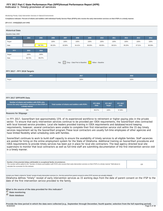# **Indicator 1: Timely provision of services FFY 2017 Part C State Performance Plan (SPP)/Annual Performance Report (APR)**

Monitoring Priority: Early Intervention Services In Natural Environments

**Compliance indicator: Percent of infants and toddlers with Individual Family Service Plans (IFSPs) who receive the early intervention services on their IFSPs in a timely manner.**

### **(20 U.S.C. 1416(a)(3)(A) and 1442)**

| <b>Historical Data</b> |        |        |        |                                                          |        |        |                   |        |        |        |        |
|------------------------|--------|--------|--------|----------------------------------------------------------|--------|--------|-------------------|--------|--------|--------|--------|
| Baseline Data: 2005    |        |        |        |                                                          |        |        |                   |        |        |        |        |
| <b>FFY</b>             | 2004   | 2005   | 2006   | 2007                                                     | 2008   | 2009   | 2010              | 2011   | 2012   | 2013   | 2014   |
| Target                 |        |        | 100%   | 100%                                                     | 100%   | 100%   | 100%              | 100%   | 100%   | 100%   | 100%   |
| Data                   |        | 96.74% | 98.33% | 82.80%                                                   | 94.41% | 98.00% | 98.95%            | 98.91% | 99.26% | 97.51% | 98.59% |
| <b>FFY</b>             | 2015   | 2016   |        |                                                          |        |        |                   |        |        |        |        |
| Target                 | 100%   | 100%   |        |                                                          |        |        |                   |        |        |        |        |
| Data                   | 98.70% | 99.07% |        |                                                          |        |        |                   |        |        |        |        |
|                        |        |        |        | Key: $\boxed{\phantom{a}}$ Gray - Data Prior to Baseline |        |        | Yellow - Baseline |        |        |        |        |

# **FFY 2017 - FFY 2018 Targets**

| .      | 2017 | 2018 |
|--------|------|------|
| Target | 100% | 100% |

# **FFY 2017 SPP/APR Data**

| Number of infants and toddlers with IFSPs who<br>receive the early intervention services on their IFSPs in<br>a timely manner | Total number of infants and toddlers with IFSPs | <b>FFY 2016</b><br><b>Data</b> | <b>FFY 2017</b><br>Target | <b>FFY 2017</b><br><b>Data</b> |
|-------------------------------------------------------------------------------------------------------------------------------|-------------------------------------------------|--------------------------------|---------------------------|--------------------------------|
| 935                                                                                                                           | 1084                                            | 99.07%                         | 100%                      | 97.88%                         |

### **Reasons for Slippage**

In FFY 2017, SoonerStart lost approximately 15% of its experienced workforce to retirement or higher paying jobs in the private sector. To ensure that early intervention services continue to be provided per IDEA requirements, the SoonerStart sites contracted with local licensed service providers. Local site leaders provided training in IDEA requirements and database/record keeping requirements, however, several contractors were unable to complete their first intervention service visit within the 15 day timely services requirement set by the SoonerStart program.These local contractors are usually full-time employees of other agencies and have limited flexibility when scheduling visits with families.

SoonerStart continues to work to build staff capacity to ensure the availability of timely services to all eligible families. Staff vacancies are posted for hiring on the online employment system for the State of Oklahoma. Additional training on SoonerStart procedures and IDEA requirements to provide timely services has been put in place for local site contractors. The lead agency directed local site supervisors to monitor that local contractors as well as full-time staff are submitting documentation of the first intervention service visit in a timely manner.

| Number of documented delays attributable to exceptional family circumstances<br>This number will be added to the "Number of infants and toddlers with IFSPs who receive their early intervention services on their IFSPs in a timely manner" field above to<br>calculate the numerator for this indicator. | 126 |
|------------------------------------------------------------------------------------------------------------------------------------------------------------------------------------------------------------------------------------------------------------------------------------------------------------|-----|
| Include your State's criteria for "timely" receipt of early intervention services (i.e., the time period from parent consent to when IFSP services are actually initiated).                                                                                                                                |     |
| Oklahoma defines "timely" receipt of early intervention services as 15 working days from the date of parent consent on the IFSP to the<br>date of the first intervention service provided to the family.                                                                                                   |     |
|                                                                                                                                                                                                                                                                                                            |     |
| What is the source of the data provided for this indicator?                                                                                                                                                                                                                                                |     |
| State monitoring                                                                                                                                                                                                                                                                                           |     |
| State database                                                                                                                                                                                                                                                                                             |     |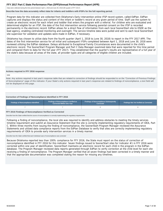Data were collected during the time period between April 1, 2018 and June 30, 2018 (4th quarter of FFY 2017).

**Describe how the data accurately reflect data for infants and toddlers with IFSPs for the full reporting period.**

Program data for this indicator are collected from Oklahoma's Early Intervention online IFSP record system, called EdPlan. EdPlan captures and displays the status and content of the infant or toddler's record at any given period of time. Staff use the system to create an electronic record for each infant and toddler that enters the program with a referral. For children who are evaluated and determined eligible for an IFSP, the date of the first intervention service following parental consent on the IFSP is recorded permanently in the electronic record. EdPlan allows for a direct flow of information from each local SoonerStart site to OSDE as the lead agency, enabling centralized monitoring and oversight. The service timeline data were pulled and sent to each local SoonerStart site supervisor for validation and updates were made in EdPlan, if necessary.

Oklahoma has chosen to utilize data from the fourth quarter (April 1, 2018 to June 30, 2018) to report in the FFY 2017 APR. The dates of the first intervention service for all initial and subsequent IFSPs completed between April 1, 2018 and June 30, 2018 were reviewed utilizing the EdPlan database. Delays attributed to Exceptional Family Circumstances were documented in the child's electronic record. The SoonerStart Program Manager and Part C Data Manager examined data that were reported for this time period and compared them to data for the full year (FFY 2017). They established that the quarter's results are representative of a full year of the state's data because all areas of the state, all provider types and all categories of eligible children are included.

### **Actions required in FFY 2016 response**

### none

Note: Any actions required in last year's response table that are related to correction of findings should be responded to on the "Correction of Previous Findings of Noncompliance" page of this indicator. If your State's only actions required in last year's response are related to findings of noncompliance, a text field will not be displayed on this page.

# **Correction of Findings of Noncompliance Identified in FFY 2016**

| <b>Findings of Noncompliance Identified</b> | <b>Findings of Noncompliance Verified as</b><br>Corrected Within One Year | <b>Findings of Noncompliance Subsequently</b><br>Corrected | <b>Findings Not Yet Verified as Corrected</b> |  |
|---------------------------------------------|---------------------------------------------------------------------------|------------------------------------------------------------|-----------------------------------------------|--|
|                                             |                                                                           |                                                            |                                               |  |

### **FFY 2016 Findings of Noncompliance Verified as Corrected**

Describe how the State verified that the source of noncompliance is correctly implementing the regulatory requirements

Following a finding of noncompliance, the local site was required to identify and address obstacles to meeting the timely services timeline requirement and submit an Assurance Statement that the site is correctly implementing regulatory requirements of IDEA, Part C. Within three months from issuing the finding of noncompliance, the SoonerStart Program Manager reviewed the Assurance Statements and utilized data compliance reports from the EdPlan Database to verify that sites are correctly implementing regulatory requirements of IDEA to provide early intervention services in a timely manner.

Describe how the State verified that each individual case of noncompliance was corrected

Because Oklahoma reported less than 100% compliance for FFY 2016, the State must report on the status of correction of noncompliance identified in FFY 2016 for this indicator. Seven findings issued to SoonerStart sites for Indicator #1 in FFY 2016 were corrected within one year of identification. SoonerStart maintains an electronic record for each child in the program in the EdPlan database. The Program Manager reviewed data reports generated through EdPlan to verify correction at the child level for each site receiving a finding of noncompliance. The Program Manager verified that all seven findings had been corrected in a timely manner and that the appropriate documentation was completed stating the reason for missing any timelines.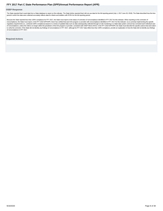### <span id="page-7-0"></span>**OSEP Response**

The State reported that it used data from a State database to report on this indicator. The State further reported that it did not use data for the full reporting period (July 1, 2017-June 30, 2018). The State described ho period in which the data were collected accurately reflects data for infants and toddlers with IFSPs for the full reporting period.

Because the State reported less than 100% compliance for FFY 2017, the State must report on the status of correction of noncompliance identified in FFY 2017 for this indicator. When reporting on the correction of noncompliance, the State must report, in the FFY 2018 SPP/APR, that it has verified that each EIS program or provider with noncompliance identified in FFY 2017 for this indicator: (1) is correctly implementing the specific regulatory requirements (i.e., achieved 100% compliance) based on a review of updated data such as data subsequently collected through on-site monitoring or a State data system; and (2) has corrected each individual case of noncompliance, unless the child is no longer within the jurisdiction of the EIS program or provider, consistent with OSEP Memo 09-02. In the FFY 2018 SPP/APR, the State must describe the specific actions that were taken of noncompliance in FFY 2017.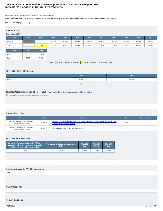# **Indicator 2: Services in Natural Environments FFY 2017 Part C State Performance Plan (SPP)/Annual Performance Report (APR)**

Monitoring Priority: Early Intervention Services In Natural Environments

**Results indicator: Percent of infants and toddlers with IFSPs who primarily receive early intervention services in the home or community-based settings.**

# **(20 U.S.C. 1416(a)(3)(A) and 1442)**

| <b>Historical Data</b>                                                     |        |        |        |        |        |        |        |        |        |        |        |
|----------------------------------------------------------------------------|--------|--------|--------|--------|--------|--------|--------|--------|--------|--------|--------|
| Baseline Data: 2005                                                        |        |        |        |        |        |        |        |        |        |        |        |
| FFY                                                                        | 2004   | 2005   | 2006   | 2007   | 2008   | 2009   | 2010   | 2011   | 2012   | 2013   | 2014   |
| Target $\geq$                                                              |        |        | 98.81% | 95.81% | 95.80% | 95.80% | 95.80% | 95.81% | 95.81% | 95.00% | 95.00% |
| Data                                                                       |        | 95.52% | 95.81% | 98.96% | 99.80% | 97.20% | 96.60% | 95.20% | 95.36% | 95.37% | 96.29% |
| <b>FFY</b>                                                                 | 2015   | 2016   |        |        |        |        |        |        |        |        |        |
| Target $\geq$                                                              | 95.00% | 95.50% |        |        |        |        |        |        |        |        |        |
| Data                                                                       | 97.34% | 97.29% |        |        |        |        |        |        |        |        |        |
| Gray - Data Prior to Baseline Yellow - Baseline Blue - Data Update<br>Key: |        |        |        |        |        |        |        |        |        |        |        |

# **FFY 2017 - FFY 2018 Targets**

| <b>FFY</b>               | 2017   | 2018        |
|--------------------------|--------|-------------|
| $\sqrt{ }$ Target $\geq$ | 95.50% | 96.00%<br>. |
|                          | Key:   |             |

# **Targets: Description of Stakeholder Input** - Please see the Stakeholder Involvement section of the *introduction*.

Enter additional information about stakeholder involvement

# **Prepopulated Data**

| <b>Source</b>                                                        | <b>Date</b> | <b>Description</b>                                                                                                                     | <b>Data</b> | <b>Overwrite Data</b> |
|----------------------------------------------------------------------|-------------|----------------------------------------------------------------------------------------------------------------------------------------|-------------|-----------------------|
| SY 2017-18 Child Count/Educational<br><b>Environment Data Groups</b> | 7/11/2018   | Number of infants and toddlers with IFSPs who primarily receive early intervention services in the<br>home or community-based settings | 2,533       |                       |
| SY 2017-18 Child Count/Educational<br><b>Environment Data Groups</b> | 7/11/2018   | Total number of infants and toddlers with IFSPs                                                                                        | 2,624       |                       |

# **FFY 2017 SPP/APR Data**

| Number of infants and toddlers with IFSPs who<br>primarily receive early intervention services in<br>the home or community-based settings | Total number of infants and toddlers with<br><b>IFSPs</b> | <b>FFY 2016</b><br>Data | <b>FFY 2017</b><br>Target | <b>FFY 2017</b><br>Data |
|-------------------------------------------------------------------------------------------------------------------------------------------|-----------------------------------------------------------|-------------------------|---------------------------|-------------------------|
| 2.533                                                                                                                                     | 2.624                                                     | 97.29%                  | 95.50%                    | 96.53%                  |

| Actions required in FFY 2016 response |  |  |
|---------------------------------------|--|--|
| none                                  |  |  |
|                                       |  |  |
|                                       |  |  |
| <b>OSEP Response</b>                  |  |  |
|                                       |  |  |
|                                       |  |  |
|                                       |  |  |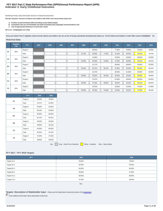# **Indicator 3: Early Childhood Outcomes FFY 2017 Part C State Performance Plan (SPP)/Annual Performance Report (APR)**

Monitoring Priority: Early Intervention Services In Natural Environments

**Results indicator: Percent of infants and toddlers with IFSPs who demonstrate improved:**

- 
- A. Positive social-emotional skills (including social relationships);<br>B. Acquisition and use of knowledge and skills (including early language/ communication); and<br>C. Use of appropriate behaviors to meet their needs.
- 

**(20 U.S.C. 1416(a)(3)(A) and 1442)**

**Does your State's Part C eligibility criteria include infants and toddlers who are at risk of having substantial developmental delays (or "at-risk infants and toddlers") under IDEA section 632(5)(B)(i)? No**

# **Historical Data**

|                | <b>Baseline</b><br>Year | <b>FFY</b>    | 2004 | 2005 | 2006 | 2007 | 2008   | 2009   | 2010   | 2011   | 2012   | 2013   | 2014   |
|----------------|-------------------------|---------------|------|------|------|------|--------|--------|--------|--------|--------|--------|--------|
| A1             | 2013                    | Target $\geq$ |      |      |      |      |        | 88.64% |        | 77.60% | 78.00% | 78.00% | 78.00% |
|                |                         | Data          |      |      |      |      | 87.10% | 88.60% | 77.60% | 81.40% | 80.82% | 78.15% | 79.73% |
| A2             | 2013                    | Target $\geq$ |      |      |      |      |        | 64.06% |        | 54.60% | 55.00% | 52.00% | 52.00% |
|                |                         | Data          |      |      |      |      | 61.80% | 59.30% | 54.60% | 57.20% | 56.00% | 52.41% | 55.67% |
| <b>B1</b>      | 2013                    | Target $\geq$ |      |      |      |      |        | 91.17% |        | 88.60% | 89.00% | 83.00% | 83.00% |
|                |                         | Data          |      |      |      |      | 89.40% | 86.70% | 86.70% | 87.90% | 86.30% | 83.04% | 84.87% |
| <b>B2</b>      | 2013                    | Target $\geq$ |      |      |      |      |        | 61.07% |        | 60.50% | 61.00% | 46.00% | 46.00% |
|                |                         | Data          |      |      |      |      | 59.80% | 56.20% | 56.20% | 50.40% | 49.20% | 46.48% | 50.58% |
| C <sub>1</sub> | 2013                    | Target $\geq$ |      |      |      |      |        | 91.97% |        | 87.80% | 88.00% | 84.00% | 84.00% |
|                |                         | Data          |      |      |      |      | 90.80% | 87.50% | 89.80% | 88.50% | 85.30% | 84.31% | 86.53% |
| C <sub>2</sub> | 2013                    | Target $\geq$ |      |      |      |      |        | 59.73% |        | 53.80% | 54.00% | 47.00% | 47.00% |
|                |                         | Data          |      |      |      |      | 58.90% | 65.20% | 54.90% | 52.00% | 50.52% | 47.03% | 50.23% |

|                | <b>FFY</b>    | 2015   | 2016   |
|----------------|---------------|--------|--------|
| A1             | Target $\geq$ | 78.00% | 78.50% |
|                | Data          | 78.17% | 84.99% |
| A <sub>2</sub> | Target $\geq$ | 52.00% | 52.50% |
|                | Data          | 55.34% | 53.50% |
| <b>B1</b>      | Target $\geq$ | 83.00% | 83.50% |
|                | Data          | 82.14% | 85.01% |
| <b>B2</b>      | Target $\geq$ | 46.00% | 46.50% |
|                | Data          | 49.05% | 45.15% |
| C <sub>1</sub> | Target $\geq$ | 84.00% | 84.50% |
|                | Data          | 83.56% | 87.03% |
| C <sub>2</sub> | Target $\geq$ | 47.00% | 47.50% |
|                | Data          | 49.86% | 48.53% |

Key: Gray – Data Prior to Baseline Yellow – Baseline Blue – Data Update

# **FFY 2017 - FFY 2018 Targets**

| <b>FFY</b>       | 2017   | 2018   |
|------------------|--------|--------|
| Target $A1 \geq$ | 78.50% | 79.00% |
| Target $A2 \geq$ | 52.50% | 53.00% |
| Target B1 $\geq$ | 83.50% | 84.00% |
| Target $B2 \geq$ | 46.50% | 47.00% |
| Target C1 $\geq$ | 84.50% | 85.00% |
| Target $C2 \geq$ | 47.50% | 48.00% |
|                  | Key:   |        |

**Targets: Description of Stakeholder Input** - Please see the Stakeholder Involvement section of the introduction.

Enter additional information about stakeholder involvement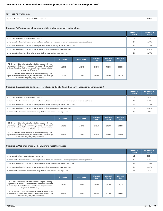| FFY 2017 SPP/APR Data                              |        |
|----------------------------------------------------|--------|
| Number of infants and toddlers with IFSPs assessed | 844.00 |

# **Outcome A: Positive social-emotional skills (including social relationships)**

|                                                                                                                                 | <b>Number of</b><br><b>Children</b> | Percentage of<br><b>Children</b> |
|---------------------------------------------------------------------------------------------------------------------------------|-------------------------------------|----------------------------------|
| a. Infants and toddlers who did not improve functioning                                                                         | 6                                   | 0.33%                            |
| b. Infants and toddlers who improved functioning but not sufficient to move nearer to functioning comparable to same-aged peers | 259                                 | 14.05%                           |
| c. Infants and toddlers who improved functioning to a level nearer to same-aged peers but did not reach it                      | 583                                 | 31.62%                           |
| d. Infants and toddlers who improved functioning to reach a level comparable to same-aged peers                                 | 744                                 | 40.35%                           |
| e. Infants and toddlers who maintained functioning at a level comparable to same-aged peers                                     | 252                                 | 13.67%                           |

|                                                                                                                                                                                                                                                  | <b>Numerator</b> | <b>Denominator</b> | <b>FFY 2016</b><br>Data | <b>FFY 2017</b><br><b>Target</b> | <b>FFY 2017</b><br>Data |
|--------------------------------------------------------------------------------------------------------------------------------------------------------------------------------------------------------------------------------------------------|------------------|--------------------|-------------------------|----------------------------------|-------------------------|
| A1. Of those children who entered or exited the program below age<br>expectations in Outcome A, the percent who substantially increased<br>their rate of growth by the time they turned 3 years of age or exited the<br>program (c+d)/(a+b+c+d). | 1327.00          | 1592.00            | 84.99%                  | 78.50%                           | 83.35%                  |
| A2. The percent of infants and toddlers who were functioning within<br>age expectations in Outcome A by the time they turned 3 years of age<br>or exited the program (d+e)/(a+b+c+d+e).                                                          | 996.00           | 1844.00            | 53.50%                  | 52.50%                           | 54.01%                  |

# **Outcome B. Acquisition and use of knowledge and skills (including early language/ communication)**

|                                                                                                                                 | Number of<br><b>Children</b> | Percentage of<br><b>Children</b> |
|---------------------------------------------------------------------------------------------------------------------------------|------------------------------|----------------------------------|
| a. Infants and toddlers who did not improve functioning                                                                         |                              | 0.49%                            |
| b. Infants and toddlers who improved functioning but not sufficient to move nearer to functioning comparable to same-aged peers | 234                          | 12.69%                           |
| c. Infants and toddlers who improved functioning to a level nearer to same-aged peers but did not reach it                      | 761                          | 41.27%                           |
| d. Infants and toddlers who improved functioning to reach a level comparable to same-aged peers                                 | 744                          | 40.35%                           |
| e. Infants and toddlers who maintained functioning at a level comparable to same-aged peers                                     | 96                           | 5.21%                            |

|                                                                                                                                                                                                                                                  | <b>Numerator</b> | <b>Denominator</b> | <b>FFY 2016</b><br>Data | <b>FFY 2017</b><br><b>Target</b> | <b>FFY 2017</b><br>Data |
|--------------------------------------------------------------------------------------------------------------------------------------------------------------------------------------------------------------------------------------------------|------------------|--------------------|-------------------------|----------------------------------|-------------------------|
| B1. Of those children who entered or exited the program below age<br>expectations in Outcome B, the percent who substantially increased<br>their rate of growth by the time they turned 3 years of age or exited the<br>program (c+d)/(a+b+c+d). | 1505.00          | 1748.00            | 85.01%                  | 83.50%                           | 86.10%                  |
| B2. The percent of infants and toddlers who were functioning within<br>age expectations in Outcome B by the time they turned 3 years of age<br>or exited the program (d+e)/(a+b+c+d+e).                                                          | 840.00           | 1844.00            | 45.15%                  | 46.50%                           | 45.55%                  |

# **Outcome C: Use of appropriate behaviors to meet their needs**

|                                                                                                                                 | Number of<br><b>Children</b> | Percentage of<br><b>Children</b> |
|---------------------------------------------------------------------------------------------------------------------------------|------------------------------|----------------------------------|
| a. Infants and toddlers who did not improve functioning                                                                         | 12                           | 0.65%                            |
| b. Infants and toddlers who improved functioning but not sufficient to move nearer to functioning comparable to same-aged peers | 216                          | 11.71%                           |
| c. Infants and toddlers who improved functioning to a level nearer to same-aged peers but did not reach it                      | 698                          | 37.85%                           |
| d. Infants and toddlers who improved functioning to reach a level comparable to same-aged peers                                 | 802                          | 43.49%                           |
| e. Infants and toddlers who maintained functioning at a level comparable to same-aged peers                                     | 116                          | 6.29%                            |

|                                                                                                                                                                                                                                                  | <b>Numerator</b> | <b>Denominator</b> | <b>FFY 2016</b><br>Data | <b>FFY 2017</b><br><b>Target</b> | <b>FFY 2017</b><br>Data |
|--------------------------------------------------------------------------------------------------------------------------------------------------------------------------------------------------------------------------------------------------|------------------|--------------------|-------------------------|----------------------------------|-------------------------|
| C1. Of those children who entered or exited the program below age<br>expectations in Outcome C, the percent who substantially increased<br>their rate of growth by the time they turned 3 years of age or exited the<br>program (c+d)/(a+b+c+d). | 1500.00          | 1728.00            | 87.03%                  | 84.50%                           | 86.81%                  |
| C2. The percent of infants and toddlers who were functioning within<br>age expectations in Outcome C by the time they turned 3 years of age<br>or exited the program (d+e)/(a+b+c+d+e).                                                          | 918.00           | 1844.00            | 48.53%                  | 47.50%                           | 49.78%                  |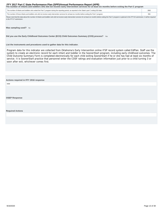<span id="page-12-0"></span>

| The number of infants and toddlers who did not receive early intervention services for at least six months before exiting the Part C program        |      |  |  |  |  |  |  |
|-----------------------------------------------------------------------------------------------------------------------------------------------------|------|--|--|--|--|--|--|
| The number of infants and toddlers who exited the Part C program during the reporting period, as reported in the State's part C exiting 618 data    | 2862 |  |  |  |  |  |  |
| The number of those infants and toddlers who did not receive early intervention services for at least six months before exiting the Part C program. | 956  |  |  |  |  |  |  |

Please note that this data about the number of infants and toddlers who did not receive early intervention services for at least six months before exiting the Part C program is optional in this FFY16 submission. It will be in the FFY17 submission.

# Was sampling used? No

**Did you use the Early Childhood Outcomes Center (ECO) Child Outcomes Summary (COS) process?** Yes

### **List the instruments and procedures used to gather data for this indicator.**

Program data for this indicator are collected from Oklahoma's Early Intervention online IFSP record system called EdPlan. Staff use the system to create an electronic record for each infant and toddler in the SoonerStart program, including early childhood outcomes. The Child Outcome Summary Form is completed electronically for each child exiting SoonerStart if he or she has had at least six months of service. It is SoonerStart practice that personnel enter the COSF ratings and evaluation information just prior to a child turning 3 or soon after exit, whichever comes first.

# **Actions required in FFY 2016 response**

none

**OSEP Response**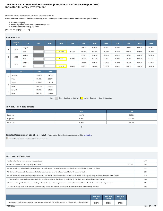# **Indicator 4: Family Involvement FFY 2017 Part C State Performance Plan (SPP)/Annual Performance Report (APR)**

Monitoring Priority: Early Intervention Services In Natural Environments

**Results indicator: Percent of families participating in Part C who report that early intervention services have helped the family:**

- **A. Know their rights;**
- **B. Effectively communicate their children's needs; and C. Help their children develop and learn.**

**(20 U.S.C. 1416(a)(3)(A) and 1442)**

### **Historical Data**

|   | <b>Baseline</b><br>Year | <b>FFY</b>    | 2004 | 2005 | 2006   | 2007   | 2008   | 2009   | 2010   | 2011   | 2012   | 2013   | 2014   |
|---|-------------------------|---------------|------|------|--------|--------|--------|--------|--------|--------|--------|--------|--------|
| A | 2006                    | Target $\geq$ |      |      |        |        | 93.15% | 93.30% | 93.35% | 93.40% | 93.40% | 91.00% | 92.00% |
|   |                         | Data          |      |      | 95.39% | 98.72% | 96.45% | 97.78% | 96.95% | 98.48% | 94.77% | 95.61% | 96.30% |
| в |                         | Target $\geq$ |      |      |        |        | 92.25% | 95.30% | 95.35% | 95.40% | 95.40% | 91.00% | 92.00% |
|   | 2006                    | Data          |      |      | 95.31% | 96.48% | 93.31% | 97.78% | 97.78% | 96.96% | 90.27% | 91.37% | 94.44% |
|   |                         | Target $\geq$ |      |      |        |        | 93.85% | 93.90% | 93.95% | 94.00% | 94.00% | 91.00% | 92.00% |
| с | 2006                    | Data          |      |      | 95.86% | 98.40% | 95.27% | 97.22% | 97.33% | 96.58% | 93.71% | 94.85% | 94.44% |

|   | <b>FFY</b>    | 2015   | 2016   |  |  |
|---|---------------|--------|--------|--|--|
| А | Target $\geq$ | 93.00% | 94.00% |  |  |
|   | Data          | 97.46% | 98.67% |  |  |
| B | Target $\geq$ | 93.00% | 94.00% |  |  |
|   | Data          | 96.87% | 98.23% |  |  |
|   | Target $\geq$ | 93.00% | 94.00% |  |  |
| c | Data          | 96.67% | 97.12% |  |  |

Key: Gray – Data Prior to Baseline Vellow – Baseline Blue – Data Update

# **FFY 2017 - FFY 2018 Targets**

| 2017   | 2018   |
|--------|--------|
| 95.00% | 96.00% |
| 95.00% | 96.00% |
| 95.00% | 96.00% |
|        |        |

Key:

# **Targets: Description of Stakeholder Input** - Please see the Stakeholder Involvement section of the *introduction*.

Enter additional information about stakeholder involvement

### **FFY 2017 SPP/APR Data**

| Number of families to whom surveys were distributed                                                                                                                         |        | 1,900 |
|-----------------------------------------------------------------------------------------------------------------------------------------------------------------------------|--------|-------|
| Number of respondent families participating in Part C                                                                                                                       | 48.11% | 914   |
| A1. Number of respondent families participating in Part C who report that early intervention services have helped the family know their rights                              |        | 892   |
| A2. Number of responses to the question of whether early intervention services have helped the family know their rights                                                     |        | 914   |
| B1. Number of respondent families participating in Part C who report that early intervention services have helped the family effectively communicate their children's needs |        | 906   |
| B2. Number of responses to the question of whether early intervention services have helped the family effectively communicate their children's needs                        |        | 914   |
| C1. Number of respondent families participating in Part C who report that early intervention services have helped the family help their children develop and learn          |        | 911   |
| C2. Number of responses to the question of whether early intervention services have helped the family help their children develop and learn                                 |        | 914   |

|                                                                                                                              | <b>FFY 2016</b><br><b>Data</b> | <b>FFY 2017</b><br><b>Target</b> | <b>FFY 2017</b><br><b>Data</b> |
|------------------------------------------------------------------------------------------------------------------------------|--------------------------------|----------------------------------|--------------------------------|
| A. Percent of families participating in Part C who report that early intervention services have helped the family know their | 98.67%                         | 95.00%                           | 97.59%                         |
| 9/18/2020                                                                                                                    |                                |                                  |                                |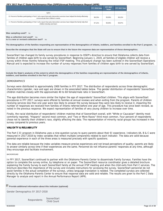|                                                                                                                                                                     | <b>FFY 2016 Data</b> | <b>FFY 2017</b><br><b>Target</b> | FFY 2017 Data |
|---------------------------------------------------------------------------------------------------------------------------------------------------------------------|----------------------|----------------------------------|---------------|
| rights                                                                                                                                                              |                      |                                  |               |
| B. Percent of families participating in Part C who report that early intervention services have helped the family effectively<br>communicate their children's needs | 98.23%               | 95.00%                           | 99.12%        |
| C. Percent of families participating in Part C who report that early intervention services have helped the family help their<br>children develop and learn          | 97.12%               | 95.00%                           | 99.67%        |

### **Was sampling used?** No

Was a collection tool used? Yes **Is it a new or revised collection tool?** No

**The demographics of the families responding are representative of the demographics of infants, toddlers, and families enrolled in the Part C program.** No

**Describe the strategies that the State will use to ensure that in the future the response data are representative of those demographics.**

SoonerStart has changed its family survey procedures in response to OSEP's directive to ensure that Oklahoma collects data from families of children ages birth to one served by SoonerStart. Beginning January 1, 2019, all families of eligible children will receive a survey within three months following the initial IFSP meeting. This procedure change has been outlined in the SoonerStart Operations Manual and is expected to increase the number of survey responses from families of children ages birth to one served by SoonerStart.

**Include the State's analysis of the extent to which the demographics of the families responding are representative of the demographics of infants, toddlers, and families enrolled in the Part C program.**

# **DEMOGRAPHICS**

Surveys were distributed to approximately 1900 families in FFY 2017. The distribution of respondents across three demographic characteristics (gender, race and age) are shown in the associated tables below. The gender distribution of respondents' SoonerStart children matches closely with the approximate 40 to 60 female/male ratio in SoonerStart.

The age distribution becomes more similar the higher the age of respondents' SoonerStart children. This aligns with SoonerStart procedures in FFY 2017: surveys were offered to families at annual reviews and when exiting from the program. Parents of children receiving services less than one year were less likely to answer the survey because they were less likely to receive it, impacting the number of responses we received from families of infants referred before one year of age. This procedure has since been revised, as noted in the previous response. We expect representation of families of very young children to increase over time.

Finally, the racial distribution of respondents' children matches that of SoonerStart overall, with "White or Caucasian" identity most commonly reported, "Hispanic" second most common, and "Two or More Races" third most common. Four percent of respondents chose not to identify their children's race, slightly affecting the data. The representation of minority racial groups has increased in the survey compared to previous years.

# **VALIDITY & RELIABILITY**

The Part C EI program in Oklahoma uses a nine-question survey to query parents about their EI experience. Indicators 4A, B & C were measured in 2017-2018 by index variables that reflect multiple components related to each indicator. The data are valid because parental experience in each of the three areas is measured precisely with specific questions.

The data are reliable because the index variables measure precise experiences and not broad perceptions of quality; parents are likely to answer similarly across time if their experiences are the same. Personnel do not influence parents' responses at any time, although they encourage and facilitate involvement.

# BACKGROUND

In FFY 2017, SoonerStart continued to partner with the Oklahoma Parents Center to disseminate Family Surveys. Families have the option to complete the survey online, by telephone or on paper. The SoonerStart resource coordinator gives a detailed brochure explaining the Family Survey to each SoonerStart family at the annual IFSP meeting and when the child exits from Part C services. The brochure describes the importance of the survey and includes instructions for accessing the survey. SoonerStart personnel do not assist families in the actual completion of the surveys, unless language translation is needed. The completed surveys are collected directly by the Oklahoma Parents Center to ensure that response data are valid and reliable. The results are given to the Part C Data Manager to analyze and report in the Annual Performance Report (APR).

**Provide additional information about this indicator (optional)**

Gender Demographics SY 2017-2018

Respondents SoonerStart Child Count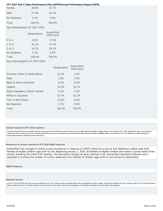<span id="page-15-0"></span>

| Female                        | 39.8%  | 37.7%   |
|-------------------------------|--------|---------|
| Male                          | 57.8%  | 62.3%   |
| No Response                   | 2.4%   | $0.0\%$ |
| Total                         | 100.0% | 100.0%  |
| Age Demographics SY 2017-2018 |        |         |

|                                | Respondents | SoonerStart<br><b>Child Count</b> |  |  |  |  |  |  |  |
|--------------------------------|-------------|-----------------------------------|--|--|--|--|--|--|--|
| $0$ to 1                       | 9.5%        | 17.5%                             |  |  |  |  |  |  |  |
| $1$ to $2$                     | 34.1%       | 32.4%                             |  |  |  |  |  |  |  |
| $2$ to $3$                     | 54.2%       | 50.1%                             |  |  |  |  |  |  |  |
| No Response                    | 2.2%        | $0.0\%$                           |  |  |  |  |  |  |  |
| Total                          | 100.0%      | 100.0%                            |  |  |  |  |  |  |  |
| Race Demographics SY 2017-2018 |             |                                   |  |  |  |  |  |  |  |

|                                     | Respondents | SoonerStart<br>Child Count |
|-------------------------------------|-------------|----------------------------|
| American Indian or Alaska Native    | 10.1%       | 5.4%                       |
| Asian                               | 1.8%        | 2.0%                       |
| Black or African American           | 6.5%        | 6.9%                       |
| Hispanic                            | 12.3%       | 15.7%                      |
| Native Hawaiian or Pacific Islander | 0.2%        | 0.3%                       |
| White or Caucasian                  | 52.7%       | 61.2%                      |
| Two or More Races                   | 12.8%       | 8.4%                       |
| No Response                         | $3.7\%$     | $0.0\%$                    |
| Total                               | 100.0%      | 100.0%                     |

### **Actions required in FFY 2016 response**

The State's reported data are inconsistent with the measurement for this indicator because the State does not collect data from families of eligible children who are birth to one. OSEP requests the State survey families of children who have received services for a minimal period of time (such as six months) to ensure that the State collects data from families of eligible children who are birth to one. The State must include strategies or improvement activities to address this issue in the future.

# **Responses to actions required in FFY 2016 OSEP response**

SoonerStart has changed its family survey procedures in response to OSEP's directive to ensure that Oklahoma collects data from families of eligible children ages birth to one. Beginning January 1, 2019, all families of eligible children will receive a survey within three months following the initial IFSP meeting. This procedure change has been outlined in the SoonerStart Operations Manual and is expected to increase the number of survey responses from families of children ages birth to one served by SoonerStart.

### **OSEP Response**

### **Required Actions**

In the FFY 2018 SPP/APR, the State must report whether its FFY 2018 response data are representative of the demographics of infants, toddlers, and families enrolled in the Part C program, and, if not, the actions the State taking to address this issue. The State must also include its analysis of the extent to which the demographics of the families responding are representative of the population.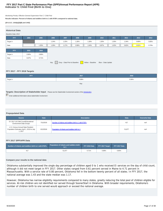# **Indicator 5: Child Find (Birth to One) FFY 2017 Part C State Performance Plan (SPP)/Annual Performance Report (APR)**

Monitoring Priority: Effective General Supervision Part C / Child Find

**Results indicator: Percent of infants and toddlers birth to 1 with IFSPs compared to national data.**

### **(20 U.S.C. 1416(a)(3)(B) and 1442)**

| <b>Historical Data</b><br>Baseline Data: 2013                                    |       |       |       |       |       |       |       |       |       |       |       |
|----------------------------------------------------------------------------------|-------|-------|-------|-------|-------|-------|-------|-------|-------|-------|-------|
| <b>FFY</b>                                                                       | 2004  | 2005  | 2006  | 2007  | 2008  | 2009  | 2010  | 2011  | 2012  | 2013  | 2014  |
| Target $\geq$                                                                    |       |       | 1.24% | 1.25% | 1.26% | 1.28% | 1.30% | 1.30% | 1.34% | 0.80% | 0.85% |
| Data                                                                             |       | 1.35% | 1.26% | 1.17% | 0.99% | 1.04% | 0.87% | 1.02% | 0.82% | 0.81% | 0.79% |
| <b>FFY</b>                                                                       | 2015  | 2016  |       |       |       |       |       |       |       |       |       |
| Target $\geq$                                                                    | 0.90% | 0.86% |       |       |       |       |       |       |       |       |       |
| Data                                                                             | 0.67% | 0.71% |       |       |       |       |       |       |       |       |       |
| Gray - Data Prior to Baseline<br>Yellow - Baseline<br>Blue - Data Update<br>Key: |       |       |       |       |       |       |       |       |       |       |       |

# **FFY 2017 - FFY 2018 Targets**

| <b>FFY</b>    | 2017  | 2018  |
|---------------|-------|-------|
| Target $\geq$ | 0.88% | 0.90% |
|               | Key:  |       |

# **Targets: Description of Stakeholder Input** - Please see the Stakeholder Involvement section of the *introduction*.

Enter additional information about stakeholder involvement

# **Prepopulated Data**

| <b>Source</b>                                                                             | <b>Date</b> | <b>Description</b>                                   | <b>Data</b> | <b>Overwrite Data</b> |
|-------------------------------------------------------------------------------------------|-------------|------------------------------------------------------|-------------|-----------------------|
| SY 2017-18 Child Count/Educational<br><b>Environment Data Groups</b>                      | 7/11/2018   | Number of infants and toddlers birth to 1 with IFSPs | 417         | null                  |
| U.S. Census Annual State Resident<br>Population Estimates April 1, 2010 to July<br>1.2017 | 6/12/2018   | Population of infants and toddlers birth to 1        | 51.877      | null                  |

# **FFY 2017 SPP/APR Data**

| Number of infants and toddlers birth to 1 with IFSPs | Population of infants and toddlers birth<br>to ' |       | FFY 2016 Data FFY 2017 Target | FFY 2017 Data |
|------------------------------------------------------|--------------------------------------------------|-------|-------------------------------|---------------|
|                                                      | 51.877                                           | 0.71% | $0.88\%$                      | 0.80%         |

# **Compare your results to the national data**

Oklahoma substantially improved the single day percentage of children aged 0 to 1 who received EI services on the day of child count, although it did not meet target in FFY 2017. Other states ranged from 0.61 percent served in Maine to 4.71 percent in Massachusetts. With a service rate of 0.80 percent, Oklahoma fell in the bottom twenty percent of all states. In FFY 2017, the national average was 1.43 and the state median was 1.17.

However, Oklahoma has narrow eligibility requirements compared to many states, greatly reducing the total pool of children eligible for services. At-risk children are not identified nor served through SoonerStart in Oklahoma. With broader requirements, Oklahoma's number of children birth to one served would approach or exceed the national average.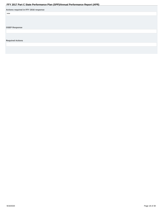<span id="page-17-0"></span>

|                                       | . . |  |
|---------------------------------------|-----|--|
| Actions required in FFY 2016 response |     |  |
| none                                  |     |  |
|                                       |     |  |
|                                       |     |  |
|                                       |     |  |
| <b>OSEP Response</b>                  |     |  |
|                                       |     |  |
|                                       |     |  |
|                                       |     |  |
| <b>Required Actions</b>               |     |  |
|                                       |     |  |
|                                       |     |  |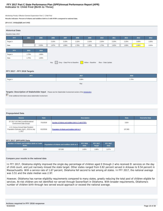# **Indicator 6: Child Find (Birth to Three) FFY 2017 Part C State Performance Plan (SPP)/Annual Performance Report (APR)**

Monitoring Priority: Effective General Supervision Part C / Child Find

**Results indicator: Percent of infants and toddlers birth to 3 with IFSPs compared to national data.**

### **(20 U.S.C. 1416(a)(3)(B) and 1442)**

| <b>Historical Data</b><br>Baseline Data: 2013 |       |       |       |                               |       |                   |                    |       |       |       |       |
|-----------------------------------------------|-------|-------|-------|-------------------------------|-------|-------------------|--------------------|-------|-------|-------|-------|
| <b>FFY</b>                                    | 2004  | 2005  | 2006  | 2007                          | 2008  | 2009              | 2010               | 2011  | 2012  | 2013  | 2014  |
| Target $\geq$                                 |       |       | 2.10% | 2.10%                         | 2.15% | 2.15%             | 2.20%              | 2.20% | 2.25% | 1.60% | 1.65% |
| Data                                          |       | 2.03% | 1.97% | 1.90%                         | 1.79% | 1.85%             | 1.75%              | 1.62% | 1.69% | 1.66% | 1.61% |
| <b>FFY</b>                                    | 2015  | 2016  |       |                               |       |                   |                    |       |       |       |       |
| Target $\geq$                                 | 1.75% | 1.66% |       |                               |       |                   |                    |       |       |       |       |
| Data                                          | 1.75% | 1.65% |       |                               |       |                   |                    |       |       |       |       |
|                                               |       |       | Key:  | Gray - Data Prior to Baseline |       | Yellow - Baseline | Blue - Data Update |       |       |       |       |

# **FFY 2017 - FFY 2018 Targets**

| <b>FFY</b>               | 2017  | 2018  |
|--------------------------|-------|-------|
| $\sqrt{ }$ Target $\geq$ | 1.68% | 1.70% |
|                          | Key:  |       |

# **Targets: Description of Stakeholder Input** - Please see the Stakeholder Involvement section of the *introduction*.

Enter additional information about stakeholder involvement

# **Prepopulated Data**

| <b>Source</b>                                                                             | <b>Date</b> | <b>Description</b>                                   | <b>Data</b> | <b>Overwrite Data</b> |
|-------------------------------------------------------------------------------------------|-------------|------------------------------------------------------|-------------|-----------------------|
| SY 2017-18 Child Count/Educational<br><b>Environment Data Groups</b>                      | 7/11/2018   | Number of infants and toddlers birth to 3 with IFSPs | 2,624       |                       |
| U.S. Census Annual State Resident<br>Population Estimates April 1, 2010 to July<br>1.2017 | 6/12/2018   | Population of infants and toddlers birth to 3        | 157.083     |                       |

### **FFY 2017 SPP/APR Data**

| Number of infants and toddlers birth to 3 with | Population of infants and toddlers birth to 3 | <b>FFY 2016</b> | <b>FFY 2017</b> | <b>FFY 2017</b> |
|------------------------------------------------|-----------------------------------------------|-----------------|-----------------|-----------------|
| <b>IFSPs</b>                                   |                                               | <b>Data</b>     | <b>Target</b>   | Data            |
| 2.624                                          | 157.083                                       | 1.65%           | 1.68%           | 1.67%           |

# **Compare your results to the national data**

In FFY 2017, Oklahoma slightly improved the single day percentage of children aged 0 through 2 who received EI services on the day of child count, and just narrowly missed the state target. Other states ranged from 0.82 percent served in Arkasas to 9.54 percent in Massachusetts. With a service rate of 1.67 percent, Oklahoma fell second to last among all states. In FFY 2017, the national average was 3.51 and the state median was 2.97.

However, Oklahoma has narrow eligibility requirements compared to many states, greatly reducing the total pool of children eligible for services. At-risk children are not identified nor served through SoonerStart in Oklahoma. With broader requirements, Oklahoma's number of children birth through two served would approach or exceed the national average.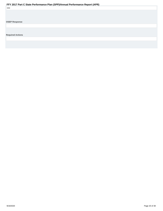<span id="page-19-0"></span>

| none                    |  |  |  |
|-------------------------|--|--|--|
|                         |  |  |  |
|                         |  |  |  |
|                         |  |  |  |
| <b>OSEP Response</b>    |  |  |  |
|                         |  |  |  |
|                         |  |  |  |
|                         |  |  |  |
| <b>Required Actions</b> |  |  |  |
|                         |  |  |  |
|                         |  |  |  |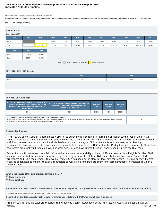# **Indicator 7: 45-day timeline FFY 2017 Part C State Performance Plan (SPP)/Annual Performance Report (APR)**

Monitoring Priority: Effective General Supervision Part C / Child Find

**Compliance indicator: Percent of eligible infants and toddlers with IFSPs for whom an initial evaluation and initial assessment and an initial IFSP meeting were conducted within Part C's 45-day timeline.**

### **(20 U.S.C. 1416(a)(3)(B) and 1442)**

| <b>Historical Data</b><br>Baseline Data: 2005 |        |        |        |        |                               |        |                   |        |        |        |        |
|-----------------------------------------------|--------|--------|--------|--------|-------------------------------|--------|-------------------|--------|--------|--------|--------|
| <b>FFY</b>                                    | 2004   | 2005   | 2006   | 2007   | 2008                          | 2009   | 2010              | 2011   | 2012   | 2013   | 2014   |
| Target                                        |        |        | 100%   | 100%   | 100%                          | 100%   | 100%              | 100%   | 100%   | 100%   | 100%   |
| Data                                          |        | 96.75% | 89.01% | 78.40% | 78.53%                        | 83.70% | 78.30%            | 82.89% | 94.04% | 93.02% | 94.64% |
| <b>FFY</b>                                    | 2015   | 2016   |        |        |                               |        |                   |        |        |        |        |
|                                               |        |        |        |        |                               |        |                   |        |        |        |        |
| Target                                        | 100%   | 100%   |        |        |                               |        |                   |        |        |        |        |
| Data                                          | 90.94% | 96.59% |        |        |                               |        |                   |        |        |        |        |
|                                               |        |        |        | Key:   | Gray - Data Prior to Baseline |        | Yellow - Baseline |        |        |        |        |

# **FFY 2017 - FFY 2018 Targets**

| <b>TEV</b><br><b>TELEVISION</b> | 2017 | 2018 |
|---------------------------------|------|------|
| <sup>1</sup> Target             | 100% | 100% |

# **FFY 2017 SPP/APR Data**

| Number of eligible infants and toddlers with IFSPs for<br>whom an initial evaluation and assessment and an<br>initial IFSP meeting was conducted within Part C's<br>45-day timeline | Number of eligible infants and toddlers evaluated and<br>assessed for whom an initial IFSP meeting was<br>required to be conducted                                           | <b>FFY 2016</b><br><b>Data</b> | <b>FFY 2017</b><br><b>Target</b> | <b>FFY 2017</b><br><b>Data</b> |     |
|-------------------------------------------------------------------------------------------------------------------------------------------------------------------------------------|------------------------------------------------------------------------------------------------------------------------------------------------------------------------------|--------------------------------|----------------------------------|--------------------------------|-----|
| 538                                                                                                                                                                                 | 856                                                                                                                                                                          | 96.59%                         | 100%                             | 95.56%                         |     |
| Number of documented delays attributable to exceptional family circumstances<br>within Part C's 45-day timeline" field above to calculate the numerator for this indicator.         | This number will be added to the "Number of eligible infants and toddlers with IFSPs for whom an initial evaluation and assessment and an initial IFSP meeting was conducted |                                |                                  |                                | 280 |

# **Reasons for Slippage**

In FFY 2017, SoonerStart lost approximately 15% of its experienced workforce to retirement or higher paying jobs in the private sector. To ensure that early intervention services continued to be provided per IDEA requirements, the SoonerStart sites contracted with local licensed service providers. Local site leaders provided training in IDEA requirements and database/record keeping requirements; however, several contractors were unavailable to complete the IFSP within the 45-day timeline requirement. These local contractors are usually full-time employees of other agencies and have limited flexibility when scheduling with the IFSP team.

SoonerStart continues to work to build staff capacity to ensure the availability of timely IFSPs and services to all eligible families. Staff vacancies are posted for hiring on the online employment system for the State of Oklahoma. Additional training on SoonerStart procedures and IDEA requirements to develop timely IFSPs has been put in place for local site contractors. The lead agency directed local site supervisors to monitor that local contractors as well as full-time staff are submitting documentation of completed IFSPs in a timely manner.

**What is the source of the data provided for this indicator?**

**C** State monitoring

*State database* 

**Provide the time period in which the data were collected (e.g., September through December, fourth quarter, selection from the full reporting period).**

Data were collected during the time period between April 1, 2018 and June 30, 2018 (4th quarter of FFY 2017).

**Describe how the data accurately reflect data for infants and toddlers with IFSPs for the full reporting period.**

Program data for this indicator are collected from Oklahoma's Early Intervention online IFSP record system, called EdPlan. EdPlan 9/18/2020 Page 21 of 38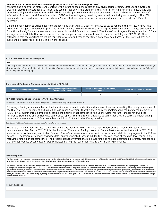<span id="page-21-0"></span>captures and displays the status and content of the infant or toddler's record at any given period of time. Staff use the system to create an electronic record for each infant and toddler that enters the program with a referral. For children who are evaluated and determined eligible, the date of the Initial IFSP is recorded permanently in the electronic record. EdPlan allows for a direct flow of information from each local SoonerStart site to OSDE as the lead agency, enabling centralized monitoring and oversight. The IFSP timeline data were pulled and sent to each local SoonerStart site supervisor for validation and updates were made in EdPlan, if necessary.

Oklahoma has chosen to utilize data from the fourth quarter (April 1, 2018 to June 30, 2018) to report in the FFY 2017 APR. Initial IFSPs with a target date between April 1, 2018 and June 30, 2018 were reviewed utilizing the EdPlan database. Delays attributed to Exceptional Family Circumstances were documented in the child's electronic record. The SoonerStart Program Manager and Part C Data Manager examined data that were reported for this time period and compared them to data for the full year (FFY 2017). They established that the quarter's results are representative of a full year of the state's data because all areas of the state, all provider types and all categories of eligible children are included.

# **Actions required in FFY 2016 response**

### none

Note: Any actions required in last year's response table that are related to correction of findings should be responded to on the "Correction of Previous Findings of Noncompliance" page of this indicator. If your State's only actions required in last year's response are related to findings of noncompliance, a text field will not be displayed on this page.

# **Correction of Findings of Noncompliance Identified in FFY 2016**

| <b>Findings of Noncompliance Identified</b> | <b>Findings of Noncompliance Verified as</b><br><b>Corrected Within One Year</b> | <b>Findings of Noncompliance Subsequently</b><br>Corrected | <b>Findings Not Yet Verified as Corrected</b> |
|---------------------------------------------|----------------------------------------------------------------------------------|------------------------------------------------------------|-----------------------------------------------|
|                                             |                                                                                  |                                                            |                                               |

### **FFY 2016 Findings of Noncompliance Verified as Corrected**

Describe how the State verified that the source of noncompliance is correctly implementing the regulatory requirements

Following a finding of noncompliance, the local site was required to identify and address obstacles to meeting the timely completion of the IFSP timeline requirement and submit an Assurance Statement that the site is correctly implementing regulatory requirements of IDEA, Part C. Within three months from issuing the finding of noncompliance, the SoonerStart Program Manager reviewed the Assurance Statements and utilized data compliance reports from the EdPlan Database to verify that sites are correctly implementing regulatory requirements of IDEA to complete the initial IFSP within the 45-day timeline.

Describe how the State verified that each individual case of noncompliance was corrected

Because Oklahoma reported less than 100% compliance for FFY 2016, the State must report on the status of correction of noncompliance identified in FFY 2016 for this indicator. The eleven findings issued to SoonerStart sites for Indicator #7 in FFY 2016 were corrected within one year of identification. SoonerStart maintains an electronic record for each child in the program in the EdPlan database. The Program Manager reviewed data reports generated through EdPlan to verify correction at the child level for each site receiving a finding of noncompliance. The Program Manager verified that all eleven findings had been corrected in a timely manner and that the appropriate documentation was completed stating the reason for missing the 45-day IFSP timeline.

### **OSEP Response**

The State reported that it used data from a State database to report on this indicator. The State further reported that it did not use data for the full reporting period (July 1, 2017-June 30, 2018). The State described ho period in which the data were collected accurately reflects data for infants and toddlers with IFSPs for the full reporting period.

Because the State reported less than 100% compliance for FFY 2017, the State must report on the status of correction of noncompliance identified in FFY 2017 for this indicator. When reporting on the correction of noncompliance, the State must report, in the FFY 2018 SPP/APR, that it has verified that each EIS program or provider with noncompliance identified in FFY 2017 for this indicator: (1) is correctly implementing the specific regulatory requirements (i.e., achieved 100% compliance) based on a review of updated data such as data subsequently collected through on-site monitoring or a State data system; and (2) has corrected each individual case of noncompliance, unless the child is no longer within the jurisdiction of the EIS program or provider, consistent with OSEP Memo 09-02. In the FFY 2018 SPP/APR, the State must describe the specific actions that were taken to verify the correction. If the State did not identify any findings of noncompliance in FFY 2017, although its FFY 2017 data reflect less than 100% compliance, provide an explanation of why the State did not identify any of noncompliance in FFY 2017.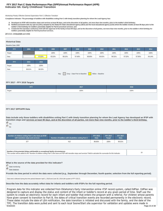# **Indicator 8A: Early Childhood Transition FFY 2017 Part C State Performance Plan (SPP)/Annual Performance Report (APR)**

## Monitoring Priority: Effective General Supervision Part C / Effective Transition

**Compliance indicator: The percentage of toddlers with disabilities exiting Part C with timely transition planning for whom the Lead Agency has:**

- **A. Developed an IFSP with transition steps and services at least 90 days, and at the discretion of all parties, not more than nine months, prior to the toddler's third birthday;**
- **Notified (consistent with any opt-out policy adopted by the State) the State educational agency (SEA) and the local educational agency (LEA) where the toddler resides at least 90 days prior to the B. toddler's third birthday for toddlers potentially eligible for Part B preschool services; and**
- C. Conducted the transition conference held with the approval of the family at least 90 days, and at the discretion of all parties, not more than nine months, prior to the toddler's third birthday for **toddlers potentially eligible for Part B preschool services.**

**(20 U.S.C. 1416(a)(3)(B) and 1442)**

# **Historical Data**

### Baseline Data: 2005

| <b>FFY</b> | 2004   | 2005   | 2006   | 2007   | 2008                          | 2009   | 2010              | 2011   | 2012   | 2013   | 2014   |
|------------|--------|--------|--------|--------|-------------------------------|--------|-------------------|--------|--------|--------|--------|
| Target     |        |        | 100%   | 100%   | 100%                          | 100%   | 100%              | 100%   | 100%   | 100%   | 100%   |
| Data       |        | 97.82% | 93.22% | 88.15% | 97.40%                        | 98.60% | 95.91%            | 99.31% | 97.52% | 97.95% | 94.14% |
|            |        |        |        |        |                               |        |                   |        |        |        |        |
| <b>FFY</b> | 2015   | 2016   |        |        |                               |        |                   |        |        |        |        |
| Target     | 100%   | 100%   |        |        |                               |        |                   |        |        |        |        |
| Data       | 96.61% | 96.93% |        |        |                               |        |                   |        |        |        |        |
|            |        |        |        | Key:   | Gray - Data Prior to Baseline |        | Yellow - Baseline |        |        |        |        |

# **FFY 2017 - FFY 2018 Targets**

| <b>FFY</b> | 2017 | 2018 |
|------------|------|------|
| Target     | 100% | 100% |
|            |      |      |

# **FFY 2017 SPP/APR Data**

**Data include only those toddlers with disabilities exiting Part C with timely transition planning for whom the Lead Agency has developed an IFSP with transition steps and services at least 90 days, and at the discretion of all parties, not more than nine months, prior to the toddler's third birthday.** Yes

 $\bigcap_{\textsf{No}}$ 

| Number of children exiting Part C who have an IFSP | Number of toddlers with disabilities exiting Part C | <b>FFY 2016</b> | <b>FFY 2017</b> | <b>FFY 2017</b> |
|----------------------------------------------------|-----------------------------------------------------|-----------------|-----------------|-----------------|
| with transition steps and services                 |                                                     | Data            | Target          | <b>Data</b>     |
| 377                                                | 412                                                 | 96.93%          | 100%            | 99.51%          |

**Number of documented delays attributable to exceptional family circumstances** Number or documented delays attributable to exceptional family circumstances<br>This number will be added to the "Number of children exiting Part C who have an IFSP with transition steps and services" field to calculate the n

**What is the source of the data provided for this indicator?**

State monitoring

State database

**Provide the time period in which the data were collected (e.g., September through December, fourth quarter, selection from the full reporting period).**

Data were collected during the time period between April 1, 2018 and June 30, 2018 (4th quarter of FFY 2017).

# **Describe how the data accurately reflect data for infants and toddlers with IFSPs for the full reporting period.**

Program data for this indicator are collected from Oklahoma's Early Intervention online IFSP record system, called EdPlan. EdPlan was designed to capture and display the status and content of the infant or toddler's record at any given period of time. Staff use the system to create an electronic record for each infant and toddler that enters the program with a referral. For children whose parents have given consent to transition to Part B, the dates of critical transition events are recorded permanently in the electronic record. These dates include the date of LEA notification, the date transition is initiated and discussed with the family, and the date of the TPC. The transition data were pulled and sent to each local SoonerStart site supervisor for validation and updates were made in 9/18/2020 Page 23 of 38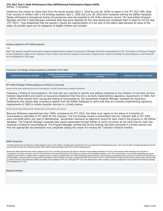<span id="page-23-0"></span>EdPlan, if necessary.

Oklahoma has chosen to utilize data from the fourth quarter (April 1, 2018 to June 30, 2018) to report in the FFY 2017 APR. Data from records of children with a 3rd birthday between April 1, 2018 and June 30, 2018 were reviewed utilizing the EdPlan database. Delays attributed to Exceptional Family Circumstances were documented in the child's electronic record. The SoonerStart Program Manager and Part C Data Manager examined data that were reported for this time period and compared them to data for the full year (FFY 2017). They established that the quarter's results are representative of a full year of the state's data because all areas of the state, all provider types and all categories of eligible children are included.

# **Actions required in FFY 2016 response**

none

Note: Any actions required in last year's response table that are related to correction of findings should be responded to on the "Correction of Previous Findings of Noncompliance" page of this indicator. If your State's only actions required in last year's response are related to findings of noncompliance, a text field will not be displayed on this page.

# **Correction of Findings of Noncompliance Identified in FFY 2016**

| Findings of Noncompliance Identified | Findings of Noncompliance Verified as<br><b>Corrected Within One Year</b> | <b>Findings of Noncompliance Subsequently</b><br>Corrected | <b>Findings Not Yet Verified as Corrected</b> |
|--------------------------------------|---------------------------------------------------------------------------|------------------------------------------------------------|-----------------------------------------------|
|                                      |                                                                           |                                                            |                                               |

### **FFY 2016 Findings of Noncompliance Verified as Corrected**

Describe how the State verified that the source of noncompliance is correctly implementing the regulatory requirements

Following a finding of noncompliance, the local site was required to identify and address obstacles to the initiation of transition services timeline requirement and submit an Assurance Statement that the site is correctly implementing regulatory requirements of IDEA, Part C. Within three months from issuing the finding of noncompliance, the SoonerStart Program Manager reviewed the Assurance Statements and utilized data compliance reports from the EdPlan Database to verify that sites are correctly implementing regulatory requirements of IDEA to initiate transition services in a timely manner.

### Describe how the State verified that each individual case of noncompliance was corrected

Because Oklahoma reported less than 100% compliance for FFY 2016, the State must report on the status of correction of noncompliance identified in FFY 2016 for this indicator. The five findings issued to SoonerStart sites for Indicator #8A in FFY 2016 were corrected within one year of identification. SoonerStart maintains an electronic record for each child in the program in the EdPlan database. The Program Manager reviewed data reports generated through EdPlan to verify correction at the child level for each site receiving a finding of noncompliance. The Program Manager verified that all five findings had been corrected in a timely manner and that the appropriate documentation was completed stating the reason for missing the Transition initiation timeline.

### **OSEP Response**

The State reported that it used data from a State database to report on this indicator. The State further reported that it did not use data for the full reporting period (July 1, 2017-June 30, 2018). The State described ho period in which the data were collected accurately reflects data for infants and toddlers with IFSPs for the full reporting period.

Because the State reported less than 100% compliance for FFY 2017, the State must report on the status of correction of noncompliance identified in FFY 2017 for this indicator. When reporting on the correction of noncompliance, the State must report, in the FFY 2018 SPP/APR, that it has verified that each EIS program or provider with noncompliance identified in FFY 2017 for this indicator: (1) is correctly implementing the specific requiatory requirements (i.e., achieved 100% compliance) based on a review of updated data such as data subsequently collected through on-site monitoring or a State data system; and (2) has corrected each individual case of noncompliance, unless the child is no longer within the jurisdiction of the EIS program or provider, consistent with OSEP Memo 09-02. In the FFY 2018 SPP/APR, the State must describe the specific actions that were taken to verify the correction. If the State did not identify any findings of noncompliance in FFY 2017, although its FFY 2017 data reflect less than 100% compliance, provide an explanation of why the State did not identify any of noncompliance in FFY 2017.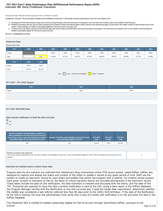# **Indicator 8B: Early Childhood Transition FFY 2017 Part C State Performance Plan (SPP)/Annual Performance Report (APR)**

## Monitoring Priority: Effective General Supervision Part C / Effective Transition

**Compliance indicator: The percentage of toddlers with disabilities exiting Part C with timely transition planning for whom the Lead Agency has:**

- **A. Developed an IFSP with transition steps and services at least 90 days, and at the discretion of all parties, not more than nine months, prior to the toddler's third birthday;**
- **Notified (consistent with any opt-out policy adopted by the State) the State educational agency (SEA) and the local educational agency (LEA) where the toddler resides at least 90 days prior to the B. toddler's third birthday for toddlers potentially eligible for Part B preschool services; and**
- C. Conducted the transition conference held with the approval of the family at least 90 days, and at the discretion of all parties, not more than nine months, prior to the toddler's third birthday for **toddlers potentially eligible for Part B preschool services.**

**(20 U.S.C. 1416(a)(3)(B) and 1442)**

# **Historical Data**

# Baseline Data: 2005

| 2004   | 2005   | 2006   | 2007   | 2008   | 2009   | 2010   | 2011   | 2012   | 2013   | 2014   |
|--------|--------|--------|--------|--------|--------|--------|--------|--------|--------|--------|
|        |        | 100%   | 100%   | 100%   | 100%   | 100%   | 100%   | 100%   | 100%   | 100%   |
|        | 100%   | 97.36% | 97.12% | 98.54% | 99.70% | 86.90% | 98.38% | 88.96% | 91.27% | 90.38% |
|        |        |        |        |        |        |        |        |        |        |        |
|        |        |        |        |        |        |        |        |        |        |        |
| 100%   | 100%   |        |        |        |        |        |        |        |        |        |
| 92.34% | 92.91% |        |        |        |        |        |        |        |        |        |
|        | 2015   | 2016   |        |        |        |        |        |        |        |        |

Key: Gray – Data Prior to Baseline Yellow – Baseline

# **FFY 2017 - FFY 2018 Targets**

| <b>FFY</b> | 2017 | 2018 |
|------------|------|------|
| Target     | 100% | 100% |
|            |      |      |

# **FFY 2017 SPP/APR Data**

# **Data include notification to both the SEA and LEA**

 Yes  $\bigcap_{\text{No}}$ 

| Number of toddlers with disabilities exiting Part C<br>where notification to the SEA and LEA occurred at<br>least 90 days prior to their third birthday for toddlers<br>potentially eligible for Part B preschool services | Number of toddlers with disabilities exiting Part C who<br>were potentially eligible for Part B | <b>FFY 2016</b><br><b>Data</b> | <b>FFY 2017</b><br><b>Target</b> | <b>FFY 2017</b><br><b>Data</b> |
|----------------------------------------------------------------------------------------------------------------------------------------------------------------------------------------------------------------------------|-------------------------------------------------------------------------------------------------|--------------------------------|----------------------------------|--------------------------------|
| 406                                                                                                                                                                                                                        | 412                                                                                             | 92.91%                         | 100%                             | 98.54%                         |

### **Number of parents who opted out**

This number will be subtracted from the "Number of toddlers with disabilities exiting Part C who were potentially eligible for Part B" field to calculate the denominator for this indicator.

 $\Omega$ 

# **Describe the method used to collect these data**

Program data for this indicator are collected from Oklahoma's Early Intervention online IFSP record system, called EdPlan. EdPlan was designed to capture and display the status and content of the infant or toddler's record at any given period of time. Staff use the system to create an electronic record for each infant and toddler that enters the program with a referral. For children whose parents have given consent to transition to Part B, the dates of critical transition events are recorded permanently in the electronic record. These dates include the date of LEA notification, the date transition is initiated and discussed with the family, and the date of the TPC. Personnel are required to input the date a written notification is sent to the LEA. Using a data report in the EdPlan database, the Program Manager verifies that the Notification to the LEA occurred and, if past the target date requirement, determines whether the toddler was considered a late referral (referred less than 90 days prior to the child's third birthday). If the date of the Notification to the LEA is missing, the local site administrator must verify that a copy of a timely LEA notification is on file and enter the date in the EdPlan database.

The Oklahoma SEA is notified of toddlers potentially eligible for Part B services through SoonerStart EdPlan, pursuant to the 9/18/2020 Page 25 of 38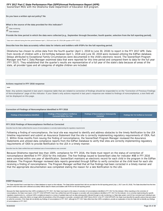# **Do you have a written opt-out policy? No**

### **What is the source of the data provided for this indicator?**

State monitoring

State database

**Provide the time period in which the data were collected (e.g., September through December, fourth quarter, selection from the full reporting period).**

Data were collected during the time period between April 1, 2018 and June 30, 2018 (4th quarter of FFY 2017).

### **Describe how the data accurately reflect data for infants and toddlers with IFSPs for the full reporting period.**

Oklahoma has chosen to utilize data from the fourth quarter (April 1, 2018 to June 30, 2018) to report in the FFY 2017 APR. Data from records of children with a 3rd birthday between April 1, 2018 and June 30, 2018 were reviewed utilizing the EdPlan database. Delays attributed to Exceptional Family Circumstances were documented in the child's electronic record. The SoonerStart Program Manager and Part C Data Manager examined data that were reported for this time period and compared them to data for the full year (FFY 2017). They established that the quarter's results are representative of a full year of the state's data because all areas of the state, all provider types and all categories of eligible children are included.

### **Actions required in FFY 2016 response**

none

Note: Any actions required in last year's response table that are related to correction of findings should be responded to on the "Correction of Previous Findings of Noncompliance" page of this indicator. If your State's only actions required in last year's response are related to findings of noncompliance, a text field will not be displayed on this page.

# **Correction of Findings of Noncompliance Identified in FFY 2016**

| Findings of Noncompliance Identified | <b>Findings of Noncompliance Verified as</b><br><b>Corrected Within One Year</b> | <b>Findings of Noncompliance Subsequently</b><br>Corrected | <b>Findings Not Yet Verified as Corrected</b> |
|--------------------------------------|----------------------------------------------------------------------------------|------------------------------------------------------------|-----------------------------------------------|
|                                      |                                                                                  |                                                            |                                               |

# **FFY 2016 Findings of Noncompliance Verified as Corrected**

Describe how the State verified that the source of noncompliance is correctly implementing the regulatory requirements

Following a finding of noncompliance, the local site was required to identify and address obstacles to the timely Notification to the LEA timeline requirement and submit an Assurance Statement that the site is correctly implementing regulatory requirements of IDEA, Part C. Within three months from issuing the finding of noncompliance, the SoonerStart Program Manager reviewed the Assurance Statements and utilized data compliance reports from the EdPlan Database to verify that sites are correctly implementing regulatory requirements of IDEA to provide Notification to the LEA in a timely manner.

### Describe how the State verified that each individual case of noncompliance was corrected

Because Oklahoma reported less than 100% compliance for FFY 2016, the State must report on the status of correction of noncompliance identified in FFY 2016 for this indicator. The five findings issued to SoonerStart sites for Indicator #8B in FFY 2016 were corrected within one year of identification. SoonerStart maintains an electronic record for each child in the program in the EdPlan database. The Program Manager reviewed data reports generated through EdPlan to verify correction at the child level for each site receiving a finding of noncompliance. The Program Manager verified that all five findings had been corrected in a timely manner and that the appropriate documentation was completed stating the reason for a late Notification to the LEA.

### **OSEP Response**

The State reported that it used data from a State database to report on this indicator. The State further reported that it did not use data for the full reporting period (July 1, 2017-June 30, 2018). The State described ho period in which the data were collected accurately reflects data for infants and toddlers with IFSPs for the full reporting period.

Because the State reported less than 100% compliance for FFY 2017, the State must report on the status of correction of noncompliance identified in FFY 2017 for this indicator. When reporting on the correction of noncompliance, the State must report, in the FFY 2018 SPP/APR, that it has verified that each EIS program or provider with noncompliance identified in FFY 2017 for this indicator: (1) is correctly implementing the specific regulatory requirements (i.e., achieved 100% compliance) based on a review of updated data such as data subsequently collected through on-site monitoring or a State data system; and (2) has corrected each individual case of noncompliance, unless the child is no longer within the jurisdiction of the EIS program or provider, consistent with OSEP Memo 09-02. In the FFY 2018 SPP/APR, the State must describe the specific actions that were taken to verify the correction. If the State did not identify any findings of noncompliance in FFY 2017, although its FFY 2017 data reflect less than 100% compliance, provide an explanation of why the State did not identify any of noncompliance in FFY 2017.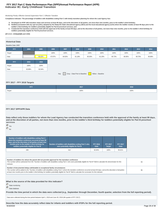# **Indicator 8C: Early Childhood Transition FFY 2017 Part C State Performance Plan (SPP)/Annual Performance Report (APR)**

### Monitoring Priority: Effective General Supervision Part C / Effective Transition

**Compliance indicator: The percentage of toddlers with disabilities exiting Part C with timely transition planning for whom the Lead Agency has:**

- **A. Developed an IFSP with transition steps and services at least 90 days, and at the discretion of all parties, not more than nine months, prior to the toddler's third birthday;**
- **Notified (consistent with any opt-out policy adopted by the State) the State educational agency (SEA) and the local educational agency (LEA) where the toddler resides at least 90 days prior to the B. toddler's third birthday for toddlers potentially eligible for Part B preschool services; and**
- C. Conducted the transition conference held with the approval of the family at least 90 days, and at the discretion of all parties, not more than nine months, prior to the toddler's third birthday for **toddlers potentially eligible for Part B preschool services.**

**(20 U.S.C. 1416(a)(3)(B) and 1442)**

### **Historical Data**

# Baseline Data: 2005

| <b>FFY</b> | 2004 | 2005   | 2006   | 2007   | 2008   | 2009   | 2010   | 2011   | 2012   | 2013   | 2014   |
|------------|------|--------|--------|--------|--------|--------|--------|--------|--------|--------|--------|
| Target     |      |        | 100%   | 100%   | 100%   | 100%   | 100%   | 100%   | 100%   | 100%   | 100%   |
| Data       |      | 99.42% | 87.87% | 84.50% | 81.18% | 85.50% | 81.20% | 90.73% | 86.95% | 89.70% | 90.68% |
| <b>FFY</b> | 2015 | 2016   |        |        |        |        |        |        |        |        |        |
|            |      |        |        |        |        |        |        |        |        |        |        |
|            |      |        |        |        |        |        |        |        |        |        |        |
| Target     | 100% | 100%   |        |        |        |        |        |        |        |        |        |

Key: Gray – Data Prior to Baseline Yellow – Baseline

# **FFY 2017 - FFY 2018 Targets**

| --<br><b>FFY</b> | 2017 | 2018 |
|------------------|------|------|
| Target           | 100% | 100% |
|                  |      |      |

### **FFY 2017 SPP/APR Data**

**Data reflect only those toddlers for whom the Lead Agency has conducted the transition conference held with the approval of the family at least 90 days, and at the discretion of all parties, not more than nine months, prior to the toddler's third birthday for toddlers potentially eligible for Part B preschool services**

# Yes  $\bigcap_{\text{No}}$

| Number of toddlers with disabilities exiting Part C<br>where the transition conference occurred at least 90<br>days, and at the discretion of all parties at least nine<br>months prior to the toddler's third birthday for<br>toddlers potentially eligible for Part B | Number of toddlers with disabilities exiting Part C who<br>were potentially eligible for Part B | <b>FFY 2016</b><br>Data | <b>FFY 2017</b><br><b>Target</b> | <b>FFY 2017</b><br><b>Data</b> |
|-------------------------------------------------------------------------------------------------------------------------------------------------------------------------------------------------------------------------------------------------------------------------|-------------------------------------------------------------------------------------------------|-------------------------|----------------------------------|--------------------------------|
| 209                                                                                                                                                                                                                                                                     | 412                                                                                             | 92.94%                  | 100%                             | 95.61%                         |

| Number of toddlers for whom the parent did not provide approval for the transition conference<br>This number will be subtracted from the "Number of toddlers with disabilities exiting Part C who were potentially eligible for Part B" field to calculate the denominator for this<br>indicator.                                                                                                                                      | 93 |
|----------------------------------------------------------------------------------------------------------------------------------------------------------------------------------------------------------------------------------------------------------------------------------------------------------------------------------------------------------------------------------------------------------------------------------------|----|
| Number of documented delays attributable to exceptional family circumstances<br>This number will be added to the "Number of toddlers with disabilities exiting Part C where the transition conference occurred at least 90 days, and at the discretion of all parties<br>at least nine months prior to the toddler's third birthday for toddlers potentially eligible for Part B" field to calculate the numerator for this indicator. | 96 |

### **What is the source of the data provided for this indicator?**

State monitoring

**State database** 

**Provide the time period in which the data were collected (e.g., September through December, fourth quarter, selection from the full reporting period).**

Data were collected during the time period between April 1, 2018 and June 30, 2018 (4th quarter of FFY 2017).

**Describe how the data accurately reflect data for infants and toddlers with IFSPs for the full reporting period.**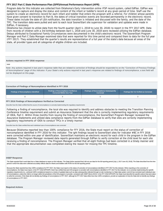<span id="page-28-0"></span>Program data for this indicator are collected from Oklahoma's Early Intervention online IFSP record system, called EdPlan. EdPlan was designed to capture and display the status and content of the infant or toddler's record at any given period of time. Staff use the system to create an electronic record for each infant and toddler that enters the program with a referral. For children whose parents have given consent to transition to Part B, the dates of critical transition events are recorded permanently in the electronic record. These dates include the date of LEA notification, the date transition is initiated and discussed with the family, and the date of the TPC. The transition data were pulled and sent to each local SoonerStart site supervisor for validation and updates were made in EdPlan, if necessary.

Oklahoma has chosen to utilize data from the fourth quarter (April 1, 2018 to June 30, 2018) to report in the FFY 2017 APR. Data from records of children with a 3rd birthday between April 1, 2018 and June 30, 2018 were reviewed utilizing the EdPlan database. Delays attributed to Exceptional Family Circumstances were documented in the child's electronic record. The SoonerStart Program Manager and Part C Data Manager examined data that were reported for this time period and compared them to data for the full year (FFY 2017). They established that the quarter's results are representative of a full year of the state's data because all areas of the state, all provider types and all categories of eligible children are included.

### **Actions required in FFY 2016 response**

### none

Note: Any actions required in last year's response table that are related to correction of findings should be responded to on the "Correction of Previous Findings of Noncompliance" page of this indicator. If your State's only actions required in last year's response are related to findings of noncompliance, a text field will not be displayed on this page.

# **Correction of Findings of Noncompliance Identified in FFY 2016**

| <b>Findings of Noncompliance Identified</b> | <b>Findings of Noncompliance Verified as</b><br><b>Corrected Within One Year</b> | <b>Findings of Noncompliance Subsequently</b><br>Corrected | Findings Not Yet Verified as Corrected |  |
|---------------------------------------------|----------------------------------------------------------------------------------|------------------------------------------------------------|----------------------------------------|--|
|                                             |                                                                                  |                                                            |                                        |  |

# **FFY 2016 Findings of Noncompliance Verified as Corrected**

Describe how the State verified that the source of noncompliance is correctly implementing the regulatory requirements

Following a finding of noncompliance, the local site was required to identify and address obstacles to meeting the Transition Planning Conference timeline requirement and submit an Assurance Statement that the site is correctly implementing regulatory requirements of IDEA, Part C. Within three months from issuing the finding of noncompliance, the SoonerStart Program Manager reviewed the Assurance Statements and utilized data compliance reports from the EdPlan Database to verify that sites are correctly implementing regulatory requirements of IDEA to conduct TPCs in a timely manner.

Describe how the State verified that each individual case of noncompliance was corrected

Because Oklahoma reported less than 100% compliance for FFY 2016, the State must report on the status of correction of noncompliance identified in FFY 2016 for this indicator. The ight findings issued to SoonerStart sites for Indicator #8C in FFY 2016 were corrected within one year of identification. SoonerStart maintains an electronic record for each child in the program in the EdPlan database. The Program Manager reviewed data reports generated through EdPlan to verify correction at the child level for each site receiving a finding of noncompliance. The Program Manager verified that all eight findings had been corrected in a timely manner and that the appropriate documentation was completed stating the reason for missing the TPC timeline.

### **OSEP Response**

The State reported that it used data from a State database to report on this indicator. The State further reported that it did not use data for the full reporting period (July 1, 2017-June 30, 2018). The State described ho period in which the data were collected accurately reflects data for infants and toddlers with IFSPs for the full reporting period.

Because the State reported less than 100% compliance for FFY 2017, the State must report on the status of correction of noncompliance identified in FFY 2017 for this indicator. When reporting on the correction of noncompliance, the State must report, in the FFY 2018 SPP/APR, that it has verified that each EIS program or provider with noncompliance identified in FFY 2017 for this indicator: (1) is correctly implementing the specific regulatory requirements (i.e., achieved 100% compliance) based on a review of updated data such as data subsequently collected through on-site monitoring or a State data system; and (2) has corrected each individual case of noncompliance, unless the child is no longer within the jurisdiction of the EIS program or provider, consistent with OSEP Memo 09-02. In the FFY 2018 SPP/APR, the State must describe the specific actions that were taken to verify the correction. If the State did not identify any findings of noncompliance in FFY 2017, although its FFY 2017 data reflect less than 100% compliance, provide an explanation of why the State did not identify any of noncompliance in FFY 2017.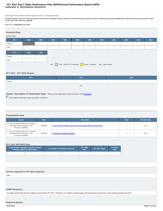# **Indicator 9: Resolution Sessions FFY 2017 Part C State Performance Plan (SPP)/Annual Performance Report (APR)**

Monitoring Priority: Effective General Supervision Part C / General Supervision

**Results indicator: Percent of hearing requests that went to resolution sessions that were resolved through resolution session settlement agreements (applicable if Part B due process procedures under section 615 of the IDEA are adopted).**

# **(20 U.S.C. 1416(a)(3)(B) and 1442)**

| <b>Historical Data</b><br><b>Baseline Data:</b>                            |      |      |      |      |      |      |      |      |      |      |      |
|----------------------------------------------------------------------------|------|------|------|------|------|------|------|------|------|------|------|
| <b>FFY</b>                                                                 | 2004 | 2005 | 2006 | 2007 | 2008 | 2009 | 2010 | 2011 | 2012 | 2013 | 2014 |
| Target $\geq$                                                              |      |      |      |      |      |      |      |      |      |      |      |
| Data                                                                       |      |      |      |      |      |      |      |      |      |      |      |
| <b>FFY</b>                                                                 | 2015 | 2016 |      |      |      |      |      |      |      |      |      |
| Target $\geq$                                                              |      |      |      |      |      |      |      |      |      |      |      |
| Data                                                                       |      |      |      |      |      |      |      |      |      |      |      |
| Gray - Data Prior to Baseline Yellow - Baseline Blue - Data Update<br>Key: |      |      |      |      |      |      |      |      |      |      |      |

# **FFY 2017 - FFY 2018 Targets**

| <b>FFY</b>                                                                                                      | 2017 | 2018 |  |  |  |  |  |  |
|-----------------------------------------------------------------------------------------------------------------|------|------|--|--|--|--|--|--|
| Target $\geq$                                                                                                   |      |      |  |  |  |  |  |  |
| Key:                                                                                                            |      |      |  |  |  |  |  |  |
|                                                                                                                 |      |      |  |  |  |  |  |  |
| Targets: Description of Stakeholder Input - Please see the Stakeholder Involvement section of the introduction. |      |      |  |  |  |  |  |  |
| Enter additional information about stakeholder involvement                                                      |      |      |  |  |  |  |  |  |

### **Prepopulated Data**

| <b>Source</b>                                                                                          | <b>Date</b> | <b>Description</b>                                                       | <b>Data</b> | <b>Overwrite Data</b> |
|--------------------------------------------------------------------------------------------------------|-------------|--------------------------------------------------------------------------|-------------|-----------------------|
| SY 2017-18 EMAPS IDEA Part C Dispute<br>Resolution Survey; Section C: Due<br><b>Process Complaints</b> | 11/8/2018   | 3.1(a) Number resolution sessions resolved through settlement agreements | n           | null                  |
| SY 2017-18 EMAPS IDEA Part C Dispute<br>Resolution Survey; Section C: Due<br><b>Process Complaints</b> | 11/8/2018   | 3.1 Number of resolution sessions                                        | n           | null                  |

# **FFY 2017 SPP/APR Data**

| 3.1(a) Number resolution sessions resolved<br>through settlement agreements | 3.1 Number of resolution sessions | <b>FFY 2016</b><br>Data <sup>1</sup> | FFY 2017 Target | <b>FFY 2017</b><br>Data |
|-----------------------------------------------------------------------------|-----------------------------------|--------------------------------------|-----------------|-------------------------|
|                                                                             |                                   |                                      |                 |                         |

# **Actions required in FFY 2016 response**

none

# **OSEP Response**

The State reported fewer than ten resolution sessions held in FFY 2017. The State is not required to provide targets until any fiscal year in which ten or more resolution sessions were held.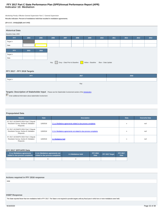# **Indicator 10: Mediation FFY 2017 Part C State Performance Plan (SPP)/Annual Performance Report (APR)**

Monitoring Priority: Effective General Supervision Part C / General Supervision

**Results indicator: Percent of mediations held that resulted in mediation agreements.**

### **(20 U.S.C. 1416(a)(3)(B) and 1442)**

| <b>Historical Data</b><br>2004<br>2010<br>2005<br>2006<br>2008<br>2009<br>2011<br>2012<br><b>FFY</b><br>2007<br>2013<br>Target $\geq$<br>Data<br><b>FFY</b><br>2015<br>2016<br>Target $\geq$<br>Data<br>Gray - Data Prior to Baseline Yellow - Baseline Blue - Data Update<br>Key: |                     |  |  |  |  |  |  |  |  |  |  |
|------------------------------------------------------------------------------------------------------------------------------------------------------------------------------------------------------------------------------------------------------------------------------------|---------------------|--|--|--|--|--|--|--|--|--|--|
|                                                                                                                                                                                                                                                                                    |                     |  |  |  |  |  |  |  |  |  |  |
|                                                                                                                                                                                                                                                                                    |                     |  |  |  |  |  |  |  |  |  |  |
|                                                                                                                                                                                                                                                                                    | Baseline Data: 2005 |  |  |  |  |  |  |  |  |  |  |
|                                                                                                                                                                                                                                                                                    |                     |  |  |  |  |  |  |  |  |  |  |
|                                                                                                                                                                                                                                                                                    |                     |  |  |  |  |  |  |  |  |  |  |
|                                                                                                                                                                                                                                                                                    |                     |  |  |  |  |  |  |  |  |  |  |
|                                                                                                                                                                                                                                                                                    |                     |  |  |  |  |  |  |  |  |  |  |
|                                                                                                                                                                                                                                                                                    |                     |  |  |  |  |  |  |  |  |  |  |
|                                                                                                                                                                                                                                                                                    |                     |  |  |  |  |  |  |  |  |  |  |
|                                                                                                                                                                                                                                                                                    |                     |  |  |  |  |  |  |  |  |  |  |
|                                                                                                                                                                                                                                                                                    |                     |  |  |  |  |  |  |  |  |  |  |
|                                                                                                                                                                                                                                                                                    |                     |  |  |  |  |  |  |  |  |  |  |

# **FFY 2017 - FFY 2018 Targets**

| <b>FFY</b> | 2017 | 2018 |  |  |  |  |
|------------|------|------|--|--|--|--|
| Target ≥   |      |      |  |  |  |  |
| Key:       |      |      |  |  |  |  |

# **Targets: Description of Stakeholder Input** - Please see the Stakeholder Involvement section of the *introduction*.

Enter additional information about stakeholder involvement

# **Prepopulated Data**

| <b>Source</b>                                                                               | <b>Date</b> | <b>Description</b>                                                  | <b>Data</b> | <b>Overwrite Data</b> |
|---------------------------------------------------------------------------------------------|-------------|---------------------------------------------------------------------|-------------|-----------------------|
| SY 2017-18 EMAPS IDEA Part C Dispute<br>Resolution Survey; Section B: Mediation<br>Requests | 11/8/2018   | 2.1.a. iMediations agreements related to due process complaints     | n           | null                  |
| SY 2017-18 EMAPS IDEA Part C Dispute<br>Resolution Survey; Section B: Mediation<br>Requests | 11/8/2018   | 2.1.b. iMediations agreements not related to due process complaints | n           | null                  |
| SY 2017-18 EMAPS IDEA Part C Dispute<br>Resolution Survey; Section B: Mediation<br>Requests | 11/8/2018   | 2.1 Mediations held                                                 | n           | null                  |

# **FFY 2017 SPP/APR Data**

| 2.1.a.i Mediations agreements<br>related to due process complaints related to due process complaints | 2.1.b.i Mediations agreements not | 2.1 Mediations held | <b>FFY 2016</b><br><b>Data</b> | FFY 2017 Target | <b>FFY 2017</b><br><b>Data</b> |
|------------------------------------------------------------------------------------------------------|-----------------------------------|---------------------|--------------------------------|-----------------|--------------------------------|
|                                                                                                      |                                   |                     |                                |                 |                                |

# **Actions required in FFY 2016 response**

none

# **OSEP Response**

The State reported fewer than ten mediations held in FFY 2017. The State is not required to provide targets until any fiscal year in which ten or more mediations were held.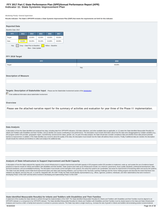# **Indicator 11: State Systemic Improvement Plan FFY 2017 Part C State Performance Plan (SPP)/Annual Performance Report (APR)**

### Monitoring Priority: General Supervision

**Results indicator: The State's SPP/APR includes a State Systemic Improvement Plan (SSIP) that meets the requirements set forth for this indicator.**

| <b>Reported Data</b> |                                                                          |        |        |        |        |
|----------------------|--------------------------------------------------------------------------|--------|--------|--------|--------|
| Baseline Data: 2013  |                                                                          |        |        |        |        |
| <b>FFY</b>           | 2013                                                                     | 2014   | 2015   | 2016   | 2017   |
| Target               |                                                                          | 42.00% | 42.00% | 43.00% | 45.00% |
| Data                 | 42.00%                                                                   | 50.20% | 50.10% | 41.60% | 46.90% |
| Key:                 | Gray - Data Prior to Baseline<br>Yellow - Baseline<br>Blue - Data Update |        |        |        |        |

### **FFY 2018 Target**

| <b>FFY</b>                    | 2018   |
|-------------------------------|--------|
| Target                        | 49.00% |
|                               | Key:   |
|                               |        |
| <b>Description of Measure</b> |        |

# **Targets: Description of Stakeholder Input** - Please see the Stakeholder Involvement section of the *introduction*.

**Enter additional information about stakeholder involvement** 

### **Overview**

Please see the attached narrative report for the summary of activities and evaluation for year three of the Phase III implementation.

### **Data Analysis**

A description of how the State identified and analyzed key data, including data from SPP/APR indicators, 618 data collections, and other available data as applicable, to: (1) select the State-identified Measurable Result(s Infants and Toddlers with Disabilities and their Families, and (2) identify root causes contributing to low performance. The description must include information about how the data were disaggregated by multiple variables EIS program and/or EIS provider, geographic region, race/ethnicity, socioeconomic status, gender, etc.) As part of its data analysis, the State should also consider compliance data and whether those data present potential barriers to improvement. In addition, if the State identifies any concerns about the quality of the data, the description must include how the State will address these concerns. Finally, if additional data are needed, the should include the methods and timelines to collect and analyze the additional data.

### **Analysis of State Infrastructure to Support Improvement and Build Capacity**

A description of how the State analyzed the capacity of its current infrastructure to support improvement and build capacity in EIS programs and/or EIS providers to implement, scale up, and sustain the use of evidence-base practices to improve results for infants and toddlers with disabilities and their families. State systems that make up its infrastructure include, at a minimum: governance, fiscal, quality standards, professional developme technical assistance, and accountability/monitoring. The description must include current strengths of the systems, the extent the systems are coordinated, and areas for improvement of functioning within and across the sys The State must also identify current State-level improvement plans and other early learning initiatives, such as Race to the Top-Early Learning Challenge and the Home Visiting program and describe the extent that these new initiatives are aligned, and how they are, or could be, integrated with, the SSIP. Finally, the State should identify representatives (e.g., offices, agencies, positions, individuals, and other stakeholders) that were invo developing Phase I of the SSIP and that will be involved in developing and implementing Phase II of the SSIP.

### **State-identified Measurable Result(s) for Infants and Toddlers with Disabilities and Their Families**

A statement of the result(s) the State intends to achieve through the implementation of the SSIP. The State-identified Measurable Result(s) for Infants and Toddlers with Disabilities and their Families must be aligned to a SPP/APR indicator or a component of an SPP/APR indicator. The State-identified Measurable Result(s) for Infants and Toddlers with Disabilities and their Families must be clearly based on the Data and State Infrastructure Analyses and must be a child- or family-level outcome in contrast to a process outcome. The State may select a single result (e.g., increase the rate of growth in infants and toddlers demonstrating positive social-emotiona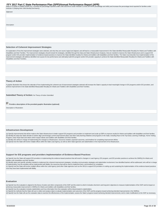FFY 2017 Part C State Performance Plan (SPP)/Annual Performance Report (APR)<br>skills) or a cluster of related results (e.g., increase the percentage reported under child outcome B under Indicator 3 of the SPP/APR (knowledge Indicator 4 (helping their child develop and learn)). **Statement Description** 

### **Selection of Coherent Improvement Strategies**

An explanation of how the improvement strategies were selected, and why they are sound, logical and aligned, and will lead to a measurable improvement in the State-identified Measurable Result(s) for Infants and Toddlers w Disabilities and their Families. The improvement strategies should include the strategies, identified through the Data and State Infrastructure Analyses, that are needed to improve the State infrastructure and to support EIS program and/or EIS provider implementation of evidence-based practices to improve the State-identified result(s) for infants and toddlers with disabilities and their families. The State must describe how implementation of improvement strategies will address identified root causes for low performance and ultimately build EIS program and/or EIS provider capacity to achieve the State-identified Measurable Result(s) for Infants and Toddlers with Disabilities and their Families.

### **Theory of Action**

A graphic illustration that shows the rationale of how implementing the coherent set of improvement strategies selected will increase the State's capacity to lead meaningful change in EIS programs and/or EIS providers, and achieve improvement in the State-identified Measurable Result(s) for Infants and Toddlers with Disabilities and their Families.

**Submitted Theory of Action: No Theory of Action Submitted** 

 **Provide a description of the provided graphic illustration (optional)**

Description of Illustration

### **Infrastructure Development**

(a) Specify improvements that will be made to the State infrastructure to better support EIS programs and providers to implement and scale up EBPs to improve results for infants and toddlers with disabilities and their fam (b) Identify the steps the State will take to further align and leverage current improvement plans and other early learning initiatives and programs in the State, including Race to the Top-Early Learning Challenge, Home Vi Program, Early Head Start and others which impact infants and toddlers with disabilities and their families.

(c) Identify who will be in charge of implementing the changes to infrastructure, resources needed, expected outcomes, and timelines for completing improvement efforts.

(d) Specify how the State will involve multiple offices within the State Lead Agency, as well as other State agencies and stakeholders in the improvement of its infrastructure.

### **Support for EIS programs and providers Implementation of Evidence-Based Practices**

(a) Specify how the State will support EIS providers in implementing the evidence-based practices that will result in changes in Lead Agency, EIS program, and EIS provider practices to achieve the SIMR(s) for infants and toddlers with disabilities and their families.

(b) Identify steps and specific activities needed to implement the coherent improvement strategies, including communication strategies and stakeholder involvement; how identified barriers will be addressed; who will be in of implementing; how the activities will be implemented with fidelity; the resources that will be used to implement them; and timelines for completion.

(c) Specify how the State will involve multiple offices within the Lead Agency (and other State agencies such as the SEA) to support EIS providers in scaling up and sustaining the implementation of the evidence-based pract once they have been implemented with fidelity.

### **Evaluation**

(a) Specify how the evaluation is aligned to the theory of action and other components of the SSIP and the extent to which it includes short-term and long-term objectives to measure implementation of the SSIP and its impac achieving measurable improvement in SIMR(s) for infants and toddlers with disabilities and their families.

(b) Specify how the evaluation includes stakeholders and how information from the evaluation will be disseminated to stakeholders.

(c) Specify the methods that the State will use to collect and analyze data to evaluate implementation and outcomes of the SSIP and the progress toward achieving intended improvements in the SIMR(s).

(d) Specify how the State will use the evaluation data to examine the effectiveness of the implementation; assess the State's progress toward achieving intended improvements; and to make modifications to the SSIP as necess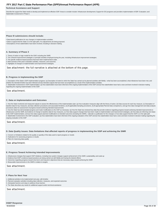# **Technical Assistance and Support**

Describe the support the State needs to develop and implement an effective SSIP. Areas to consider include: Infrastructure development; Support for EIS programs and providers implementation of EBP; Evaluation; and Stakeholder involvement in Phase II.

### **Phase III submissions should include:**

• Data-based justifications for any changes in implementation activities.

• Data to support that the State is on the right path, if no adjustments are being proposed.

• Descriptions of how stakeholders have been involved, including in decision-making.

### **A. Summary of Phase 3**

1. Theory of action or logic model for the SSIP, including the SiMR.

2. The coherent improvement strategies or principle activities employed during the year, including infrastructure improvement strategies.

3. The specific evidence-based practices that have been implemented to date.

4. Brief overview of the year's evaluation activities, measures, and outcomes.

5. Highlights of changes to implementation and improvement strategies.

See attachment: the full narrative is attached at the bottom of this page.

### **B. Progress in Implementing the SSIP**

1. Description of the State's SSIP implementation progress: (a) Description of extent to which the State has carried out its planned activities with fidelity—what has been accomplished, what milestones have been met, and whether the intended timeline has been followed and (b) Intended outputs that have been accomplished as a result of the implementation activities 2. Stakeholder involvement in SSIP implementation: (a) How stakeholders have been informed of the ongoing implementation of the SSIP and (b) How stakeholders have had a voice and been involved in decision-making regarding the ongoing implementation of the SSIP.

See attachment.

### **C. Data on Implementation and Outcomes**

1. How the State monitored and measured outputs to assess the effectiveness of the implementation plan: (a) How evaluation measures align with the theory of action, (b) Data sources for each key measure, (c) Description of baseline data for key measures, (d) Data collection procedures and associated timelines, (e) [If applicable] Sampling procedures, (f) [If appropriate] Planned data comparisons, and (g) How data management and data analysis procedures allow for assessment of progress toward achieving intended improvements

2. How the State has demonstrated progress and made modifications to the SSIP as necessary: (a) How the State has reviewed key data that provide evidence regarding progress toward achieving intended improvements to infrastructure and the SiMR, (b) Evidence of change to baseline data for key measures, (c) How data support changes that have been made to implementation and improvement strategies, (d) How data are informing next steps in the SSIP implementation, and (e) How data support planned modifications to intended outcomes (including the SIMR)—rationale or justification for the changes or how data support that the SSIP is on the right path 3. Stakeholder involvement in the SSIP evaluation: (a) How stakeholders have been informed of the ongoing evaluation of the SSIP and (b) How stakeholders have had a voice and been involved in decision-making regarding the ongoing evaluation of the SSIP

See attachment.

### **D. Data Quality Issues: Data limitations that affected reports of progress in implementing the SSIP and achieving the SIMR**

1. Concern or limitations related to the quality or quantity of the data used to report progress or results

2. Implications for assessing progress or results

3. Plans for improving data quality

See attachment.

### **E. Progress Toward Achieving Intended Improvements**

1. Infrastructure changes that support SSIP initiatives, including how system changes support achievement of the SiMR, sustainability, and scale-up

- 2. Evidence that SSIP's evidence-based practices are being carried out with fidelity and having the desired effects
- 3. Outcomes regarding progress toward short-term and long-term objectives that are necessary steps toward achieving the SIMR
- 4. Measurable improvements in the SIMR in relation to targets

See attachment.

### **F. Plans for Next Year**

1. Additional activities to be implemented next year, with timeline

2. Planned evaluation activities including data collection, measures, and expected outcomes

3. Anticipated barriers and steps to address those barriers

4. The State describes any needs for additional support and/or technical assistance

# See attachment.